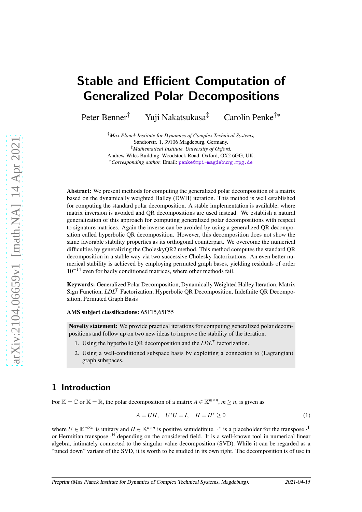# Stable and Efficient Computation of Generalized Polar Decompositions

Peter Benner<sup>†</sup> Yuji Nakatsukasa<sup>‡</sup> Carolin Penke<sup>†</sup>\*

†*Max Planck Institute for Dynamics of Complex Technical Systems,* Sandtorstr. 1, 39106 Magdeburg, Germany. ‡*Mathematical Institute, University of Oxford,* Andrew Wiles Building, Woodstock Road, Oxford, OX2 6GG, UK. ∗*Corresponding author.* Email: [penke@mpi-magdeburg.mpg.de](mailto:penke@mpi-magdeburg.mpg.de)

Abstract: We present methods for computing the generalized polar decomposition of a matrix based on the dynamically weighted Halley (DWH) iteration. This method is well established for computing the standard polar decomposition. A stable implementation is available, where matrix inversion is avoided and QR decompositions are used instead. We establish a natural generalization of this approach for computing generalized polar decompositions with respect to signature matrices. Again the inverse can be avoided by using a generalized QR decomposition called hyperbolic QR decomposition. However, this decomposition does not show the same favorable stability properties as its orthogonal counterpart. We overcome the numerical difficulties by generalizing the CholeskyQR2 method. This method computes the standard QR decomposition in a stable way via two successive Cholesky factorizations. An even better numerical stability is achieved by employing permuted graph bases, yielding residuals of order  $10^{-14}$  even for badly conditioned matrices, where other methods fail.

Keywords: Generalized Polar Decomposition, Dynamically Weighted Halley Iteration, Matrix Sign Function, *LDL*<sup>T</sup> Factorization, Hyperbolic QR Decomposition, Indefinite QR Decomposition, Permuted Graph Basis

AMS subject classifications: 65F15,65F55

Novelty statement: We provide practical iterations for computing generalized polar decompositions and follow up on two new ideas to improve the stability of the iteration.

- 1. Using the hyperbolic QR decomposition and the *LDL<sup>T</sup>* factorization.
- 2. Using a well-conditioned subspace basis by exploiting a connection to (Lagrangian) graph subspaces.

## <span id="page-0-1"></span>1 Introduction

For  $\mathbb{K} = \mathbb{C}$  or  $\mathbb{K} = \mathbb{R}$ , the polar decomposition of a matrix  $A \in \mathbb{K}^{m \times n}$ ,  $m \ge n$ , is given as

<span id="page-0-0"></span>
$$
A = UH, \quad U^*U = I, \quad H = H^* \ge 0 \tag{1}
$$

where  $U \in \mathbb{K}^{m \times n}$  is unitary and  $H \in \mathbb{K}^{n \times n}$  is positive semidefinite.  $\cdot^*$  is a placeholder for the transpose  $\cdot^T$ or Hermitian transpose · <sup>H</sup> depending on the considered field. It is a well-known tool in numerical linear algebra, intimately connected to the singular value decomposition (SVD). While it can be regarded as a "tuned down" variant of the SVD, it is worth to be studied in its own right. The decomposition is of use in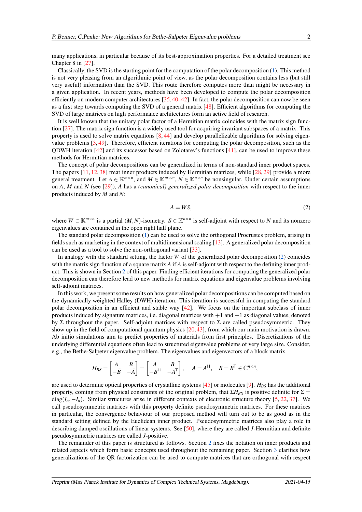Chapter 8 in [\[27\]](#page-21-0). Classically, the SVD is the starting point for the computation of the polar decomposition [\(1\)](#page-0-0). This method is not very pleasing from an algorithmic point of view, as the polar decomposition contains less (but still very useful) information than the SVD. This route therefore computes more than might be necessary in a given application. In recent years, methods have been developed to compute the polar decomposition efficiently on modern computer architectures [\[35,](#page-21-1)[40–](#page-21-2)[42\]](#page-21-3). In fact, the polar decomposition can now be seen as a first step towards computing the SVD of a general matrix [\[48\]](#page-22-0). Efficient algorithms for computing the SVD of large matrices on high performance architectures form an active field of research.

It is well known that the unitary polar factor of a Hermitian matrix coincides with the matrix sign function [\[27\]](#page-21-0). The matrix sign function is a widely used tool for acquiring invariant subspaces of a matrix. This property is used to solve matrix equations  $[8, 44]$  $[8, 44]$  and develop parallelizable algorithms for solving eigenvalue problems [\[3,](#page-19-0) [49\]](#page-22-1). Therefore, efficient iterations for computing the polar decomposition, such as the QDWH iteration [\[42\]](#page-21-3) and its successor based on Zolotarev's functions [\[41\]](#page-21-5), can be used to improve these methods for Hermitian matrices.

The concept of polar decompositions can be generalized in terms of non-standard inner product spaces. The papers [\[11,](#page-20-1) [12,](#page-20-2) [38\]](#page-21-6) treat inner products induced by Hermitian matrices, while [\[28,](#page-21-7) [29\]](#page-21-8) provide a more general treatment. Let  $A \in \mathbb{K}^{m \times n}$ , and  $M \in \mathbb{K}^{m \times m}$ ,  $N \in \mathbb{K}^{n \times n}$  be nonsingular. Under certain assumptions on *A*, *M* and *N* (see [\[29\]](#page-21-8)), *A* has a *(canonical) generalized polar decomposition* with respect to the inner products induced by *M* and *N*:

<span id="page-1-0"></span>
$$
A = WS,\tag{2}
$$

where  $W \in \mathbb{K}^{m \times n}$  is a partial  $(M, N)$ -isometry.  $S \in \mathbb{K}^{n \times n}$  is self-adjoint with respect to *N* and its nonzero eigenvalues are contained in the open right half plane.

The standard polar decomposition [\(1\)](#page-0-0) can be used to solve the orthogonal Procrustes problem, arising in fields such as marketing in the context of multidimensional scaling [\[13\]](#page-20-3). A generalized polar decomposition can be used as a tool to solve the non-orthogonal variant [\[33\]](#page-21-9).

In analogy with the standard setting, the factor *W* of the generalized polar decomposition [\(2\)](#page-1-0) coincides with the matrix sign function of a square matrix *A* if *A* is self-adjoint with respect to the defining inner product. This is shown in Section [2](#page-2-0) of this paper. Finding efficient iterations for computing the generalized polar decomposition can therefore lead to new methods for matrix equations and eigenvalue problems involving self-adjoint matrices.

In this work, we present some results on how generalized polar decompositions can be computed based on the dynamically weighted Halley (DWH) iteration. This iteration is successful in computing the standard polar decomposition in an efficient and stable way [\[42\]](#page-21-3). We focus on the important subclass of inner products induced by signature matrices, i.e. diagonal matrices with  $+1$  and  $-1$  as diagonal values, denoted by Σ throughout the paper. Self-adjoint matrices with respect to Σ are called pseudosymmetric. They show up in the field of computational quantum physics [\[20,](#page-20-4) [43\]](#page-21-10), from which our main motivation is drawn. Ab initio simulations aim to predict properties of materials from first principles. Discretizations of the underlying differential equations often lead to structured eigenvalue problems of very large size. Consider, e.g., the Bethe-Salpeter eigenvalue problem. The eigenvalues and eigenvectors of a block matrix

$$
H_{BS} = \begin{bmatrix} A & B \\ -\bar{B} & -\bar{A} \end{bmatrix} = \begin{bmatrix} A & B \\ -B^H & -A^T \end{bmatrix}, \quad A = A^H, \quad B = B^T \in \mathbb{C}^{n \times n},
$$

are used to determine optical properties of crystalline systems [\[45\]](#page-22-2) or molecules [\[9\]](#page-20-5). *HBS* has the additional property, coming from physical constraints of the original problem, that  $\Sigma H_{BS}$  is positive definite for  $\Sigma =$ diag( $I_n, -I_n$ ). Similar structures arise in different contexts of electronic structure theory [\[5,](#page-19-1) [22,](#page-20-6) [37\]](#page-21-11). We call pseudosymmetric matrices with this property definite pseudosymmetric matrices. For these matrices in particular, the convergence behaviour of our proposed method will turn out to be as good as in the standard setting defined by the Euclidean inner product. Pseudosymmetric matrices also play a role in describing damped oscillations of linear systems. See [\[50\]](#page-22-3), where they are called *J*-Hermitian and definite pseudosymmetric matrices are called *J*-positive.

The remainder of this paper is structured as follows. Section [2](#page-2-0) fixes the notation on inner products and related aspects which form basic concepts used throughout the remaining paper. Section [3](#page-3-0) clarifies how generalizations of the QR factorization can be used to compute matrices that are orthogonal with respect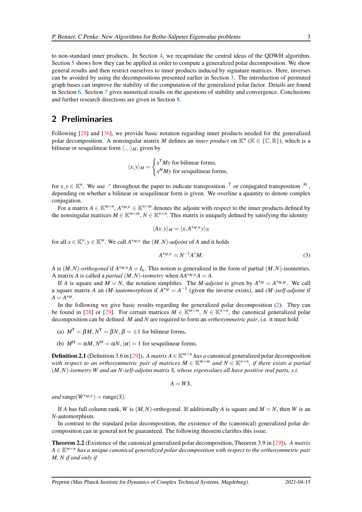to non-standard inner products. In Section [4,](#page-6-0) we recapitulate the central ideas of the QDWH algorithm. Section [5](#page-8-0) shows how they can be applied in order to compute a generalized polar decomposition. We show general results and then restrict ourselves to inner products induced by signature matrices. Here, inverses can be avoided by using the decompositions presented earlier in Section [3.](#page-3-0) The introduction of permuted graph bases can improve the stability of the computation of the generalized polar factor. Details are found in Section [6.](#page-11-0) Section [7](#page-15-0) gives numerical results on the questions of stability and convergence. Conclusions and further research directions are given in Section [8.](#page-18-0)

## <span id="page-2-0"></span>2 Preliminaries

Following [\[28\]](#page-21-7) and [\[36\]](#page-21-12), we provide basic notation regarding inner products needed for the generalized polar decomposition. A nonsingular matrix *M* defines an *inner product* on  $\mathbb{K}^n$  ( $\mathbb{K} \in \{ \mathbb{C}, \mathbb{R} \}$ ), which is a bilinear or sesquilinear form  $\langle .,.\rangle_M$ , given by

$$
\langle x, y \rangle_M = \begin{cases} x^{\mathsf{T}} My \text{ for bilinear forms,} \\ x^H My \text{ for sesquilinear forms,} \end{cases}
$$

for  $x, y \in \mathbb{K}^n$ . We use  $\cdot^*$  throughout the paper to indicate transposition  $\cdot^T$  or conjugated transposition  $\cdot^H$ , depending on whether a bilinear or sesquilinear form is given. We overline a quantity to denote complex conjugation.

For a matrix  $A \in \mathbb{K}^{m \times n}$ ,  $A^{*n}$ ,  $\in \mathbb{K}^{n \times m}$  denotes the adjoint with respect to the inner products defined by the nonsingular matrices  $M \in \mathbb{K}^{m \times m}$ ,  $N \in \mathbb{K}^{n \times n}$ . This matrix is uniquely defined by satisfying the identity

$$
\langle Ax, y \rangle_M = \langle x, A^{\star_{M,N}} y \rangle_N
$$

for all  $x \in \mathbb{K}^n$ ,  $y \in \mathbb{K}^m$ . We call  $A^{\star_{M,N}}$  the  $(M,N)$ *-adjoint* of *A* and it holds

<span id="page-2-1"></span>
$$
A^{\star_{M,N}} = N^{-1}A^{\star}M. \tag{3}
$$

*A* is  $(M, N)$ -orthogonal if  $A^{M,M}A = I_n$ . This notion is generalized in the form of partial  $(M, N)$ -isometries. A matrix *A* is called a *partial*  $(M, N)$ *-isometry* when  $AA^{*M,N}A = A$ .

If *A* is square and  $M = N$ , the notation simplifies. The *M*-adjoint is given by  $A^{*M} = A^{*M,M}$ . We call a square matrix *A* an *(M-)automorphism* if  $A^{*M} = A^{-1}$  (given the inverse exists), and *(M-)self-adjoint* if  $A = A^{\star M}$ .

In the following we give basic results regarding the generalized polar decomposition [\(2\)](#page-1-0). They can be found in [\[28\]](#page-21-7) or [\[29\]](#page-21-8). For certain matrices  $M \in \mathbb{K}^{m \times m}$ ,  $N \in \mathbb{K}^{n \times n}$ , the canonical generalized polar decomposition can be defined. *M* and *N* are required to form an *orthosymmetric pair*, i.e. it must hold

- (a)  $M^{\mathsf{T}} = \beta M, N^{\mathsf{T}} = \beta N, \beta = \pm 1$  for bilinear forms,
- (b)  $M^H = \alpha M$ ,  $N^H = \alpha N$ ,  $|\alpha| = 1$  for sesquilinear forms.

<span id="page-2-2"></span>**Definition 2.1** (Definition 3.6 in [\[29\]](#page-21-8)). *A matrix A*  $\in$  K<sup>*m*×*n*</sup> *has a* canonical generalized polar decomposition *with respect to an orthosymmetric pair of matrices*  $M \in \mathbb{K}^{m \times m}$  and  $N \in \mathbb{K}^{n \times n}$ , if there exists a partial (*M*,*N*)*-isometry W and an N-self-adjoint matrix S, whose eigenvalues all have positive real parts, s.t.*

$$
A=WS,
$$

 $and$  range( $W^{\star_{M,N}}$ ) = range( $S$ ).

If *A* has full column rank, *W* is  $(M, N)$ -orthogonal. If additionally *A* is square and  $M = N$ , then *W* is an *N*-automorphism.

In contrast to the standard polar decomposition, the existence of the (canonical) generalized polar decomposition can in general not be guaranteed. The following theorem clarifies this issue.

Theorem 2.2 (Existence of the canonical generalized polar decomposition, Theorem 3.9 in [\[29\]](#page-21-8)). *A matrix <sup>A</sup>* <sup>∈</sup> <sup>K</sup>*m*×*<sup>n</sup> has a unique canonical generalized polar decomposition with respect to the orthosymmetric pair M, N if and only if*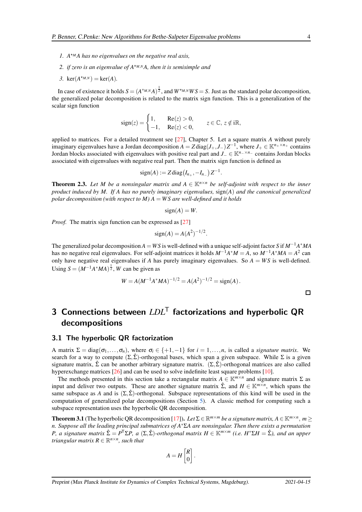- *1. A*⋆*<sup>M</sup> A has no eigenvalues on the negative real axis,*
- *2. if zero is an eigenvalue of A*⋆*M*,*<sup>N</sup> A, then it is semisimple and*
- *3.* ker( $A^{*_{M,N}}$ ) = ker(*A*).

In case of existence it holds  $S = (A^{*M,N}A)^{\frac{1}{2}}$ , and  $W^{*M,N}WS = S$ . Just as the standard polar decomposition, the generalized polar decomposition is related to the matrix sign function. This is a generalization of the scalar sign function

$$
sign(z) = \begin{cases} 1, & \text{Re}(z) > 0, \\ -1, & \text{Re}(z) < 0, \end{cases}
$$
  $z \in \mathbb{C}, z \notin i\mathbb{R},$ 

applied to matrices. For a detailed treatment see [\[27\]](#page-21-0), Chapter 5. Let a square matrix *A* without purely imaginary eigenvalues have a Jordan decomposition  $A = Z \text{diag}(J_+, J_-) Z^{-1}$ , where  $J_+ \in \mathbb{K}^{n_+ \times n_+}$  contains Jordan blocks associated with eigenvalues with positive real part and *<sup>J</sup>*<sup>−</sup> <sup>∈</sup> <sup>K</sup>*n*−×*n*<sup>−</sup> contains Jordan blocks associated with eigenvalues with negative real part. Then the matrix sign function is defined as

$$
sign(A) := Z diag(I_{n_+}, -I_{n_-}) Z^{-1}
$$

**Theorem 2.3.** Let M be a nonsingular matrix and  $A \in \mathbb{K}^{n \times n}$  be self-adjoint with respect to the inner *product induced by M. If A has no purely imaginary eigenvalues,* sign(*A*) *and the canonical generalized polar decomposition (with respect to M) A = WS are well-defined and it holds* 

$$
sign(A) = W.
$$

*Proof.* The matrix sign function can be expressed as [\[27\]](#page-21-0)

$$
sign(A) = A(A^2)^{-1/2}.
$$

The generalized polar decomposition  $A = WS$  is well-defined with a unique self-adjoint factor *S* if  $M^{-1}A^*MA$ has no negative real eigenvalues. For self-adjoint matrices it holds *M*−1*A* <sup>∗</sup>*M* = *A*, so *M*−1*A* ∗*MA* = *A* 2 can only have negative real eigenvalues if *A* has purely imaginary eigenvalues. So  $A = WS$  is well-defined. Using  $S = (M^{-1}A^*MA)^{\frac{1}{2}}$ , *W* can be given as

$$
W = A(M^{-1}A^*MA)^{-1/2} = A(A^2)^{-1/2} = sign(A).
$$

.

## <span id="page-3-0"></span>3 Connections between *LDL*<sup>T</sup> factorizations and hyperbolic QR decompositions

#### 3.1 The hyperbolic QR factorization

A matrix  $\Sigma = \text{diag}(\sigma_1, \ldots, \sigma_n)$ , where  $\sigma_i \in \{+1, -1\}$  for  $i = 1, \ldots, n$ , is called a *signature matrix*. We search for a way to compute  $(\Sigma, \hat{\Sigma})$ -orthogonal bases, which span a given subspace. While  $\Sigma$  is a given signature matrix,  $\hat{\Sigma}$  can be another arbitrary signature matrix.  $(\Sigma, \hat{\Sigma})$ -orthogonal matrices are also called hyperexchange matrices [\[26\]](#page-20-7) and can be used to solve indefinite least square problems [\[10\]](#page-20-8).

The methods presented in this section take a rectangular matrix  $A \in \mathbb{K}^{m \times n}$  and signature matrix  $\Sigma$  as input and deliver two outputs. These are another signature matrix  $\hat{\Sigma}$ , and  $H \in \mathbb{K}^{m \times n}$ , which spans the same subspace as *A* and is  $(\Sigma, \hat{\Sigma})$ -orthogonal. Subspace representations of this kind will be used in the computation of generalized polar decompositions (Section [5\)](#page-8-0). A classic method for computing such a subspace representation uses the hyperbolic QR decomposition.

<span id="page-3-1"></span>**Theorem 3.1** (The hyperbolic QR decomposition [\[17\]](#page-20-9)). Let  $\Sigma \in \mathbb{R}^{m \times m}$  be a signature matrix,  $A \in \mathbb{K}^{m \times n}$ ,  $m \geq$ *n. Suppose all the leading principal submatrices of A*∗Σ*A are nonsingular. Then there exists a permutation P, a signature matrix*  $\hat{\Sigma} = P^T \Sigma P$ , a  $(\Sigma, \hat{\Sigma})$ -orthogonal matrix  $H \in \mathbb{K}^{m \times m}$  (i.e.  $H^* \Sigma H = \hat{\Sigma}$ ), and an upper *triangular matrix*  $R \in \mathbb{R}^{n \times n}$ *, such that* 

$$
A = H \begin{bmatrix} R \\ 0 \end{bmatrix}.
$$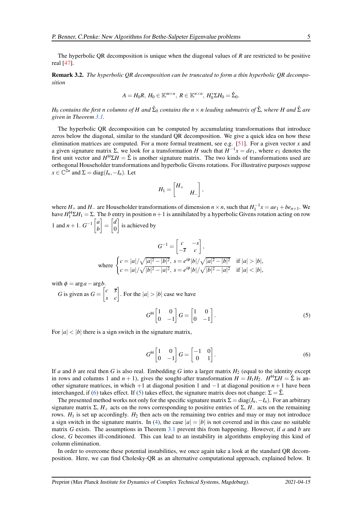The hyperbolic QR decomposition is unique when the diagonal values of *R* are restricted to be positive real [\[47\]](#page-22-4).

Remark 3.2. *The hyperbolic QR decomposition can be truncated to form a thin hyperbolic QR decomposition*

$$
A=H_0R, H_0\in\mathbb{K}^{m\times n}, R\in\mathbb{K}^{n\times n}, H_0^*\Sigma H_0=\hat{\Sigma}_0.
$$

 $H_0$  *contains the first n columns of H and*  $\hat{\Sigma}_0$  *contains the n* × *n leading submatrix of*  $\hat{\Sigma}$ *, where H and*  $\hat{\Sigma}$  *are given in Theorem [3.1.](#page-3-1)*

The hyperbolic QR decomposition can be computed by accumulating transformations that introduce zeros below the diagonal, similar to the standard QR decomposition. We give a quick idea on how these elimination matrices are computed. For a more formal treatment, see e.g.  $[51]$ . For a given vector *x* and a given signature matrix  $\Sigma$ , we look for a transformation *H* such that  $H^{-1}x = de_1$ , where  $e_1$  denotes the first unit vector and  $H^H \Sigma H = \hat{\Sigma}$  is another signature matrix. The two kinds of transformations used are orthogonal Householder transformations and hyperbolic Givens rotations. For illustrative purposes suppose  $x \in \mathbb{C}^{2n}$  and  $\Sigma = \text{diag}(I_n, -I_n)$ . Let

<span id="page-4-2"></span>
$$
H_1=\begin{bmatrix} H_+ & & \\ & H_- \end{bmatrix},\quad
$$

where  $H_+$  and  $H_-$  are Householder transformations of dimension  $n \times n$ , such that  $H_1^{-1}x = ae_1 + be_{n+1}$ . We have  $H_1^H \Sigma H_1 = \Sigma$ . The *b* entry in position  $n+1$  is annihilated by a hyperbolic Givens rotation acting on row 1 and *n* + 1.  $G^{-1} \begin{bmatrix} a \\ b \end{bmatrix}$ *b*  $\Big] = \Big[ \begin{matrix} d \\ 0 \end{matrix}$  $\boldsymbol{0}$ s is achieved by

$$
G^{-1} = \begin{bmatrix} c & -s \\ -\overline{s} & c \end{bmatrix},
$$
  
where 
$$
\begin{cases} c = |a|/\sqrt{|a|^2 - |b|^2}, s = e^{i\phi} |b|/\sqrt{|a|^2 - |b|^2} & \text{if } |a| > |b|, \\ c = |a|/\sqrt{|b|^2 - |a|^2}, s = e^{i\phi} |b|/\sqrt{|b|^2 - |a|^2} & \text{if } |a| < |b|, \end{cases}
$$

with  $\phi = \arg a - \arg b$ .

*G* is given as 
$$
G = \begin{bmatrix} c & \overline{s} \\ s & c \end{bmatrix}
$$
. For the  $|a| > |b|$  case we have  

$$
G^{\mathsf{H}} \begin{bmatrix} 1 & 0 \\ 0 & -1 \end{bmatrix} G = \begin{bmatrix} 1 & 0 \\ 0 & -1 \end{bmatrix}.
$$
 (5)

For  $|a| < |b|$  there is a sign switch in the signature matrix,

<span id="page-4-1"></span><span id="page-4-0"></span>
$$
G^{\mathsf{H}} \begin{bmatrix} 1 & 0 \\ 0 & -1 \end{bmatrix} G = \begin{bmatrix} -1 & 0 \\ 0 & 1 \end{bmatrix} . \tag{6}
$$

If *a* and *b* are real then *G* is also real. Embedding *G* into a larger matrix  $H_2$  (equal to the identity except in rows and columns 1 and  $n + 1$ ), gives the sought-after transformation  $H = H_1 H_2$ .  $H^H \Sigma H = \hat{\Sigma}$  is another signature matrices, in which +1 at diagonal position 1 and −1 at diagonal position *n* + 1 have been interchanged, if [\(6\)](#page-4-0) takes effect. If [\(5\)](#page-4-1) takes effect, the signature matrix does not change:  $\Sigma = \hat{\Sigma}$ .

The presented method works not only for the specific signature matrix  $\Sigma = diag(I_n, -I_n)$ . For an arbitrary signature matrix  $\Sigma$ ,  $H_+$  acts on the rows corresponding to positive entries of  $\Sigma$ ,  $H_-$  acts on the remaining rows.  $H_1$  is set up accordingly.  $H_2$  then acts on the remaining two entries and may or may not introduce a sign switch in the signature matrix. In [\(4\)](#page-4-2), the case  $|a| = |b|$  is not covered and in this case no suitable matrix *G* exists. The assumptions in Theorem [3.1](#page-3-1) prevent this from happening. However, if *a* and *b* are close, *G* becomes ill-conditioned. This can lead to an instability in algorithms employing this kind of column elimination.

In order to overcome these potential instabilities, we once again take a look at the standard QR decomposition. Here, we can find Cholesky-QR as an alternative computational approach, explained below. It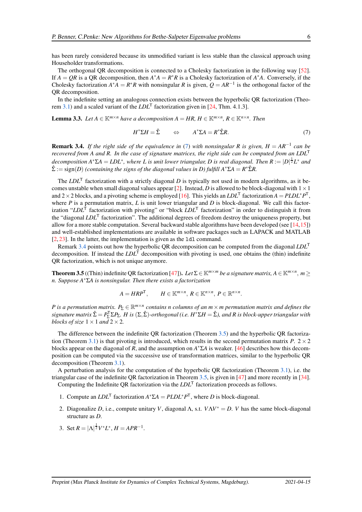has been rarely considered because its unmodified variant is less stable than the classical approach using Householder transformations.

The orthogonal QR decomposition is connected to a Cholesky factorization in the following way [\[52\]](#page-22-6). If  $A = QR$  is a QR decomposition, then  $A^*A = R^*R$  is a Cholesky factorization of  $A^*A$ . Conversely, if the Cholesky factorization  $A^*A = R^*R$  with nonsingular R is given,  $Q = AR^{-1}$  is the orthogonal factor of the QR decomposition.

<span id="page-5-3"></span>In the indefinite setting an analogous connection exists between the hyperbolic QR factorization (Theo-rem [3.1\)](#page-3-1) and a scaled variant of the  $LDL<sup>T</sup>$  factorization given in [\[24,](#page-20-10) Thm. 4.1.3].

**Lemma 3.3.** Let  $A \in \mathbb{K}^{m \times n}$  have a decomposition  $A = HR$ ,  $H \in \mathbb{K}^{m \times n}$ ,  $R \in \mathbb{K}^{n \times n}$ . Then

<span id="page-5-0"></span>
$$
H^* \Sigma H = \hat{\Sigma} \qquad \Leftrightarrow \qquad A^* \Sigma A = R^* \hat{\Sigma} R. \tag{7}
$$

<span id="page-5-1"></span>**Remark 3.4.** If the right side of the equivalence in [\(7\)](#page-5-0) with nonsingular R is given,  $H = AR^{-1}$  can be *recovered from A and R. In the case of signature matrices, the right side can be computed from an LDL*<sup>T</sup> *decomposition A<sup>∗</sup>ΣA* = *LDL<sup>∗</sup>*, *where L is unit lower triangular, D is real diagonal. Then R* :=  $|D|^{\frac{1}{2}}L^*$  *and*  $\hat{\Sigma} := \text{sign}(D)$  *(containing the signs of the diagonal values in D) fulfill*  $A^* \Sigma A = R^* \hat{\Sigma} R$ .

The *LDL*<sup>T</sup> factorization with a strictly diagonal *D* is typically not used in modern algorithms, as it be-comes unstable when small diagonal values appear [\[2\]](#page-19-2). Instead, *D* is allowed to be block-diagonal with  $1 \times 1$ and 2 × 2 blocks, and a pivoting scheme is employed [\[16\]](#page-20-11). This yields an *LDL*<sup>T</sup> factorization  $A = PLDL^*P^T$ , where *P* is a permutation matrix, *L* is unit lower triangular and *D* is block-diagonal. We call this factorization "*LDL*<sup>T</sup> factorization with pivoting" or "block *LDL*<sup>T</sup> factorization" in order to distinguish it from the "diagonal *LDL*<sup>T</sup> factorization". The additional degrees of freedom destroy the uniqueness property, but allow for a more stable computation. Several backward stable algorithms have been developed (see [\[14,](#page-20-12)[15\]](#page-20-13)) and well-established implementations are available in software packages such as LAPACK and MATLAB [\[2,](#page-19-2) [23\]](#page-20-14). In the latter, the implementation is given as the 1d1 command.

Remark [3.4](#page-5-1) points out how the hyperbolic QR decomposition can be computed from the diagonal *LDL*<sup>T</sup> decomposition. If instead the *LDL*<sup>T</sup> decomposition with pivoting is used, one obtains the (thin) indefinite QR factorization, which is not unique anymore.

<span id="page-5-2"></span>**Theorem 3.5** ((Thin) indefinite QR factorization [\[47\]](#page-22-4)). Let  $\Sigma \in \mathbb{K}^{m \times m}$  be a signature matrix,  $A \in \mathbb{K}^{m \times n}$ ,  $m \geq$ *n. Suppose A*∗Σ*A is nonsingular. Then there exists a factorization*

$$
A = HRP^{\mathsf{T}}, \qquad H \in \mathbb{K}^{m \times n}, R \in \mathbb{K}^{n \times n}, P \in \mathbb{R}^{n \times n}.
$$

*P* is a permutation matrix.  $P_{\Sigma} \in \mathbb{R}^{m \times n}$  contains n columns of an  $m \times m$  permutation matrix and defines the  $signature$  matrix  $\hat{\Sigma} = P_{\Sigma}^{\mathsf{T}} \Sigma P_{\Sigma}$ . *H* is  $(\Sigma, \hat{\Sigma})$ -orthogonal (i.e.  $H^* \Sigma H = \hat{\Sigma}$ ), and *R* is block-upper triangular with *blocks of size*  $1 \times 1$  *and*  $2 \times 2$ *.* 

The difference between the indefinite QR factorization (Theorem [3.5\)](#page-5-2) and the hyperbolic QR factoriza-tion (Theorem [3.1\)](#page-3-1) is that pivoting is introduced, which results in the second permutation matrix *P*.  $2 \times 2$ blocks appear on the diagonal of *R*, and the assumption on *A* ∗Σ*A* is weaker. [\[46\]](#page-22-7) describes how this decomposition can be computed via the successive use of transformation matrices, similar to the hyperbolic QR decomposition (Theorem [3.1\)](#page-3-1).

A perturbation analysis for the computation of the hyperbolic QR factorization (Theorem [3.1\)](#page-3-1), i.e. the triangular case of the indefinite QR factorization in Theorem [3.5,](#page-5-2) is given in [\[47\]](#page-22-4) and more recently in [\[34\]](#page-21-13). Computing the Indefinite QR factorization via the *LDL*<sup>T</sup> factorization proceeds as follows.

- 1. Compute an  $LDL<sup>T</sup>$  factorization  $A^* \Sigma A = PLDL^*P^T$ , where *D* is block-diagonal.
- 2. Diagonalize *D*, i.e., compute unitary *V*, diagonal  $\Lambda$ , s.t.  $V\Lambda V^* = D$ . *V* has the same block-diagonal structure as *D*.
- 3. Set  $R = |\Lambda|^{\frac{1}{2}}V^*L^*$ ,  $H = APR^{-1}$ .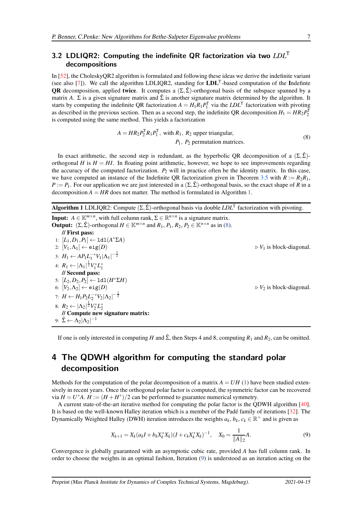### <span id="page-6-4"></span>3.2 LDLIQR2: Computing the indefinite QR factorization via two *LDL*<sup>T</sup> decompositions

In [\[52\]](#page-22-6), the CholeskyQR2 algorithm is formulated and following these ideas we derive the indefinite variant (see also [\[7\]](#page-19-3)). We call the algorithm LDLIQR2, standing for LDL<sup>T</sup> -based computation of the Indefinte **OR** decomposition, applied **twice**. It computes a  $(\Sigma, \hat{\Sigma})$ -orthogonal basis of the subspace spanned by a matrix *A*.  $\Sigma$  is a given signature matrix and  $\hat{\Sigma}$  is another signature matrix determined by the algorithm. It starts by computing the indefinite QR factorization  $A = H_1R_1P_1^{\mathsf{T}}$  via the  $LDL^{\mathsf{T}}$  factorization with pivoting as described in the previous section. Then as a second step, the indefinite QR decomposition  $H_1 = HR_2P_2^{\text{T}}$ is computed using the same method. This yields a factorization

<span id="page-6-2"></span>
$$
A = HR_2P_2^{\mathsf{T}}R_1P_1^{\mathsf{T}}, \text{ with } R_1, R_2 \text{ upper triangular,}
$$
  

$$
P_1, P_2 \text{ permutation matrices.}
$$
 (8)

In exact arithmetic, the second step is redundant, as the hyperbolic QR decomposition of a  $(\Sigma, \hat{\Sigma})$ orthogonal *H* is  $H = HI$ . In floating point arithmetic, however, we hope to see improvements regarding the accuracy of the computed factorization.  $P_2$  will in practice often be the identity matrix. In this case, we have computed an instance of the Indefinite QR factorization given in Theorem [3.5](#page-5-2) with  $R := R_2R_1$ ,  $P := P_1$ . For our application we are just interested in a  $(\Sigma, \hat{\Sigma})$ -orthogonal basis, so the exact shape of *R* in a decomposition  $A = HR$  does not matter. The method is formulated in Algorithm [1.](#page-6-1)

<span id="page-6-1"></span>Algorithm 1 LDLIQR2: Compute (Σ, Σ̂)-orthogonal basis via double *LDL*<sup>T</sup> factorization with pivoting.

**Input:**  $A \in \mathbb{K}^{m \times n}$ , with full column rank,  $\Sigma \in \mathbb{R}^{n \times n}$  is a signature matrix. **Output:**  $(\Sigma, \hat{\Sigma})$ -orthogonal  $H \in \mathbb{K}^{m \times n}$  and  $R_1, P_1, R_2, P_2 \in \mathbb{K}^{n \times n}$  as in [\(8\)](#page-6-2). // First pass: 1: [*L*1,*D*1,*P*1] ← ldl(*A* ∗Σ*A*) 2:  $[V_1, \Lambda_1] \leftarrow \text{eig}(D)$   $\triangleright V_1$  is block-diagonal. 3:  $H_1 \leftarrow AP_1 L_1^{-*} V_1 |\Lambda_1|^{-\frac{1}{2}}$ 4:  $R_1 \leftarrow |\Lambda_1|^{\frac{1}{2}} V_1^* L_1^*$ // Second pass: 5: [*L*2,*D*2,*P*2] ← ldl(*H* ∗Σ*H*) 6:  $[V_2, \Lambda_2] \leftarrow \text{eig}(D)$   $\triangleright V_2$  is block-diagonal. 7:  $H \leftarrow H_1 P_2 L_2^{-*} V_2 |\Lambda_2|^{-\frac{1}{2}}$ 8:  $R_2 \leftarrow |\Lambda_2|^{\frac{1}{2}} V_2^* L_2^*$ // Compute new signature matrix: 9:  $\hat{\Sigma} \leftarrow \Lambda_2 |\Lambda_2|^{-1}$ 

If one is only interested in computing *H* and  $\hat{\Sigma}$ , then Steps 4 and 8, computing  $R_1$  and  $R_2$ , can be omitted.

## <span id="page-6-0"></span>4 The QDWH algorithm for computing the standard polar decomposition

Methods for the computation of the polar decomposition of a matrix  $A = UH(1)$  $A = UH(1)$  have been studied extensively in recent years. Once the orthogonal polar factor is computed, the symmetric factor can be recovered via  $H = U^*A$ .  $H := (H + H^*)/2$  can be performed to guarantee numerical symmetry.

A current state-of-the-art iterative method for computing the polar factor is the QDWH algorithm [\[40\]](#page-21-2). It is based on the well-known Halley iteration which is a member of the Padé family of iterations [\[32\]](#page-21-14). The Dynamically Weighted Halley (DWH) iteration introduces the weights  $a_k$ ,  $b_k$ ,  $c_k \in \mathbb{R}^+$  and is given as

<span id="page-6-3"></span>
$$
X_{k+1} = X_k (a_k I + b_k X_k^* X_k)(I + c_k X_k^* X_k)^{-1}, \quad X_0 = \frac{1}{\|A\|_2} A.
$$
\n<sup>(9)</sup>

Convergence is globally guaranteed with an asymptotic cubic rate, provided *A* has full column rank. In order to choose the weights in an optimal fashion, Iteration [\(9\)](#page-6-3) is understood as an iteration acting on the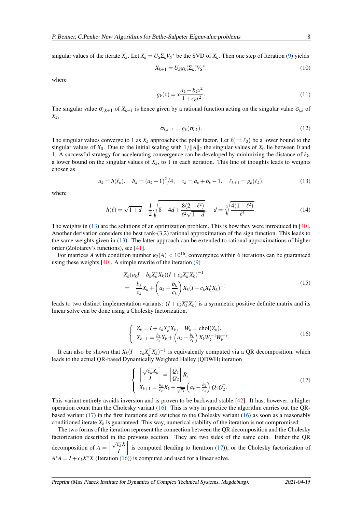singular values of the iterate  $X_k$ . Let  $X_k = U_S \Sigma_k V_S^*$  be the SVD of  $X_k$ . Then one step of Iteration [\(9\)](#page-6-3) yields

<span id="page-7-3"></span>
$$
X_{k+1} = U_S g_k(\Sigma_k) V_S^*,\tag{10}
$$

where

$$
g_k(x) = x \frac{a_k + b_k x^2}{1 + c_k x^2}.
$$
\n(11)

The singular value  $\sigma_{i,k+1}$  of  $X_{k+1}$  is hence given by a rational function acting on the singular value  $\sigma_{i,k}$  of *Xk* ,

<span id="page-7-5"></span><span id="page-7-4"></span><span id="page-7-0"></span>
$$
\sigma_{i,k+1} = g_k(\sigma_{i,k}). \tag{12}
$$

The singular values converge to 1 as  $X_k$  approaches the polar factor. Let  $\ell (=:\ell_0)$  be a lower bound to the singular values of  $X_0$ . Due to the initial scaling with  $1/||A||_2$  the singular values of  $X_0$  lie between 0 and 1. A successful strategy for accelerating convergence can be developed by minimizing the distance of  $\ell_k$ , a lower bound on the singular values of  $X_k$ , to 1 in each iteration. This line of thoughts leads to weights chosen as

$$
a_k = h(\ell_k), \quad b_k = (a_k - 1)^2/4, \quad c_k = a_k + b_k - 1, \quad \ell_{k+1} = g_k(\ell_k), \tag{13}
$$

where

$$
h(\ell) = \sqrt{1+d} + \frac{1}{2} \sqrt{8 - 4d + \frac{8(2-\ell^2)}{\ell^2 \sqrt{1+d}}}, \quad d = \sqrt[3]{\frac{4(1-\ell^2)}{\ell^4}}.
$$
 (14)

The weights in [\(13\)](#page-7-0) are the solutions of an optimization problem. This is how they were introduced in [\[40\]](#page-21-2). Another derivation considers the best rank-(3,2) rational approximation of the sign function. This leads to the same weights given in [\(13\)](#page-7-0). The latter approach can be extended to rational approximations of higher order (Zolotarev's functions), see [\[41\]](#page-21-5).

For matrices *A* with condition number  $\kappa_2(A) < 10^{16}$ , convergence within 6 iterations can be guaranteed using these weights  $[40]$ . A simple rewrite of the iteration  $(9)$ 

<span id="page-7-6"></span>
$$
X_k(a_k I + b_k X_k^* X_k)(I + c_k X_k^* X_k)^{-1}
$$
  
= 
$$
\frac{b_k}{c_k} X_k + \left(a_k - \frac{b_k}{c_k}\right) X_k (I + c_k X_k^* X_k)^{-1}
$$
 (15)

leads to two distinct implementation variants:  $(I + c_k X_k^* X_k)$  is a symmetric positive definite matrix and its linear solve can be done using a Cholesky factorization.

<span id="page-7-1"></span>
$$
\begin{cases} Z_k = I + c_k X_k^* X_k, & W_k = \text{chol}(Z_k), \\ X_{k+1} = \frac{b_k}{c_k} X_k + \left( a_k - \frac{b_k}{c_k} \right) X_k W_k^{-1} W_k^{-*}. \end{cases}
$$
(16)

It can also be shown that  $X_k(I + c_k X_k^{\mathsf{T}})$  $\int_k^T X_k$ )<sup>-1</sup> is equivalently computed via a QR decomposition, which leads to the actual QR-based Dynamically Weighted Halley (QDWH) iteration

<span id="page-7-2"></span>
$$
\begin{cases}\n\begin{bmatrix}\n\sqrt{c_k}X_k \\
I\n\end{bmatrix} = \begin{bmatrix} Q_1 \\ Q_2 \end{bmatrix}R, \\
X_{k+1} = \frac{b_k}{c_k}X_k + \frac{1}{\sqrt{c_k}}\left(a_k - \frac{b_k}{c_k}\right)Q_1Q_2^{\mathsf{T}}.\n\end{cases}
$$
\n(17)

This variant entirely avoids inversion and is proven to be backward stable [\[42\]](#page-21-3). It has, however, a higher operation count than the Cholesky variant [\(16\)](#page-7-1). This is why in practice the algorithm carries out the QRbased variant [\(17\)](#page-7-2) in the first iterations and switches to the Cholesky variant [\(16\)](#page-7-1) as soon as a reasonably conditioned iterate  $X_k$  is guaranteed. This way, numerical stability of the iteration is not compromised.

The two forms of the iteration represent the connection between the QR decomposition and the Cholesky factorization described in the previous section. They are two sides of the same coin. Either the QR decomposition of  $A = \begin{bmatrix} \sqrt{c_k}X \\ I \end{bmatrix}$ *I* 1 is computed (leading to Iteration [\(17\)](#page-7-2)), or the Cholesky factorization of  $A^*A = I + c_k X^*X$  (Iteration [\(16\)](#page-7-1)) is computed and used for a linear solve.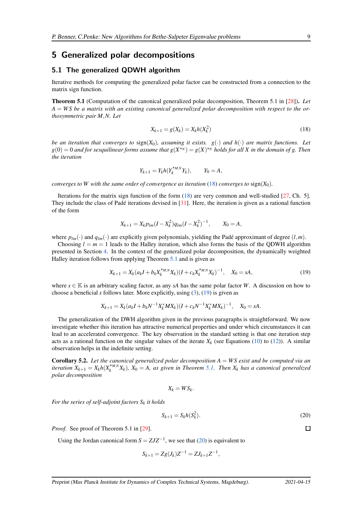### <span id="page-8-0"></span>5 Generalized polar decompositions

#### 5.1 The generalized QDWH algorithm

<span id="page-8-2"></span>Iterative methods for computing the generalized polar factor can be constructed from a connection to the matrix sign function.

Theorem 5.1 (Computation of the canonical generalized polar decomposition, Theorem 5.1 in [\[28\]](#page-21-7)). *Let A* = *W S be a matrix with an existing canonical generalized polar decomposition with respect to the orthosymmetric pair M*,*N. Let*

<span id="page-8-1"></span>
$$
X_{k+1} = g(X_k) = X_k h(X_k^2)
$$
\n(18)

*be an iteration that converges to* sign(*X*0)*, assuming it exists. g*(·) *and h*(·) *are matrix functions. Let*  $g(0) = 0$  and for sesquilinear forms assume that  $g(X^{\star_N}) = g(X)^{\star_N}$  holds for all X in the domain of g. Then *the iteration*

$$
Y_{k+1} = Y_k h(Y_k^{\star_{M,N}} Y_k), \qquad Y_0 = A,
$$

*converges to W with the same order of convergence as iteration* [\(18\)](#page-8-1) *converges to*  $sign(X_0)$ *.* 

Iterations for the matrix sign function of the form [\(18\)](#page-8-1) are very common and well-studied [\[27,](#page-21-0) Ch. 5]. They include the class of Padé iterations devised in  $[31]$ . Here, the iteration is given as a rational function of the form

$$
X_{k+1} = X_k p_{lm} (I - X_k^2) q_{lm} (I - X_k^2)^{-1}, \qquad X_0 = A,
$$

where  $p_{lm}(\cdot)$  and  $q_{lm}(\cdot)$  are explicitly given polynomials, yielding the Padé approximant of degree  $(l,m)$ .

Choosing  $l = m = 1$  leads to the Halley iteration, which also forms the basis of the QDWH algorithm presented in Section [4.](#page-6-0) In the context of the generalized polar decomposition, the dynamically weighted Halley iteration follows from applying Theorem [5.1](#page-8-2) and is given as

$$
X_{k+1} = X_k (a_k I + b_k X_k^{*M,N} X_k)(I + c_k X_k^{*M,N} X_k)^{-1}, \quad X_0 = sA,
$$
\n(19)

where  $s \in \mathbb{K}$  is an arbitrary scaling factor, as any *sA* has the same polar factor *W*. A discussion on how to choose a beneficial *s* follows later. More explicitly, using [\(3\)](#page-2-1), [\(19\)](#page-8-3) is given as

$$
X_{k+1} = X_k (a_k I + b_k N^{-1} X_k^* M X_k)(I + c_k N^{-1} X_k^* M X_k)^{-1}, \quad X_0 = sA.
$$

The generalization of the DWH algorithm given in the previous paragraphs is straightforward. We now investigate whether this iteration has attractive numerical properties and under which circumstances it can lead to an accelerated convergence. The key observation in the standard setting is that one iteration step acts as a rational function on the singular values of the iterate  $X_k$  (see Equations [\(10\)](#page-7-3) to [\(12\)](#page-7-4)). A similar observation helps in the indefinite setting.

<span id="page-8-5"></span>Corollary 5.2. *Let the canonical generalized polar decomposition A* = *W S exist and be computed via an iteration*  $X_{k+1} = X_k h(X_k^{*M,N})$  $\chi_k^{M,N}X_k$ ),  $X_0 = A$ , as given in Theorem [5.1.](#page-8-2) Then  $X_k$  has a canonical generalized *polar decomposition*

$$
X_k = W S_k.
$$

*For the series of self-adjoint factors S<sup>k</sup> it holds*

$$
S_{k+1} = S_k h(S_k^2). \tag{20}
$$

*Proof.* See proof of Theorem 5.1 in [\[29\]](#page-21-8).

Using the Jordan canonical form  $S = ZJZ^{-1}$ , we see that [\(20\)](#page-8-4) is equivalent to

$$
S_{k+1} = Zg(J_k)Z^{-1} = ZJ_{k+1}Z^{-1},
$$

<span id="page-8-4"></span><span id="page-8-3"></span> $\Box$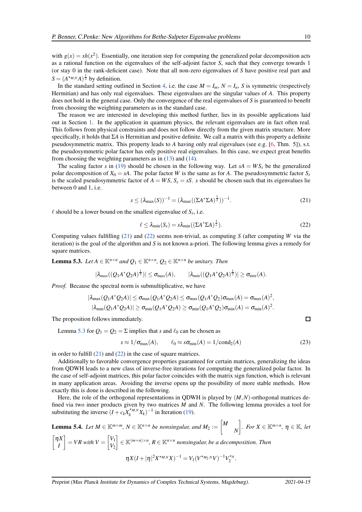with  $g(x) = xh(x^2)$ . Essentially, one iteration step for computing the generalized polar decomposition acts as a rational function on the eigenvalues of the self-adjoint factor *S*, such that they converge towards 1 (or stay 0 in the rank-deficient case). Note that all non-zero eigenvalues of *S* have positive real part and  $S = (A^{*M,N}A)^{\frac{1}{2}}$  by definition.

In the standard setting outlined in Section [4,](#page-6-0) i.e. the case  $M = I_m$ ,  $N = I_n$ , *S* is symmetric (respectively Hermitian) and has only real eigenvalues. These eigenvalues are the singular values of *A*. This property does not hold in the general case. Only the convergence of the real eigenvalues of *S* is guaranteed to benefit from choosing the weighting parameters as in the standard case.

The reason we are interested in developing this method further, lies in its possible applications laid out in Section [1.](#page-0-1) In the application in quantum physics, the relevant eigenvalues are in fact often real. This follows from physical constraints and does not follow directly from the given matrix structure. More specifically, it holds that Σ*A* is Hermitian and positive definite. We call a matrix with this property a definite pseudosymmetric matrix. This property leads to *A* having only real eigevalues (see e.g. [\[6,](#page-19-4) Thm. 5]), s.t. the pseudosymmetric polar factor has only positive real eigenvalues. In this case, we expect great benefits from choosing the weighting parameters as in  $(13)$  and  $(14)$ .

The scaling factor *s* in [\(19\)](#page-8-3) should be chosen in the following way. Let  $sA = WS_s$  be the generalized polar decomposition of  $X_0 = sA$ . The polar factor *W* is the same as for *A*. The pseudosymmetric factor  $S_s$ is the scaled pseudosymmetric factor of  $A = WS$ ,  $S_s = sS$ . *s* should be chosen such that its eigenvalues lie between 0 and 1, i.e.

$$
s \le (\lambda_{\max}(S))^{-1} = (\lambda_{\max}((\Sigma A^* \Sigma A)^{\frac{1}{2}}))^{-1}.
$$
 (21)

 $\ell$  should be a lower bound on the smallest eigenvalue of  $S_s$ , i.e.

<span id="page-9-1"></span><span id="page-9-0"></span>
$$
\ell \leq \lambda_{\min}(S_s) = s\lambda_{\min}((\Sigma A^* \Sigma A)^{\frac{1}{2}}). \tag{22}
$$

Computing values fulfilling [\(21\)](#page-9-0) and [\(22\)](#page-9-1) seems non-trivial, as computing *S* (after computing *W* via the iteration) is the goal of the algorithm and *S* is not known a-priori. The following lemma gives a remedy for square matrices.

<span id="page-9-2"></span>**Lemma 5.3.** *Let*  $A \in \mathbb{K}^{n \times n}$  *and*  $Q_1 \in \mathbb{K}^{n \times n}$ ,  $Q_2 \in \mathbb{K}^{n \times n}$  *be unitary. Then* 

$$
|\lambda_{max}((Q_1A^*Q_2A)^{\frac{1}{2}})| \leq \sigma_{max}(A), \qquad |\lambda_{min}((Q_1A^*Q_2A)^{\frac{1}{2}})| \geq \sigma_{min}(A).
$$

*Proof.* Because the spectral norm is submultiplicative, we have

$$
|\lambda_{\max}(Q_1A^*Q_2A)| \leq \sigma_{\max}(Q_1A^*Q_2A) \leq \sigma_{\max}(Q_1A^*Q_2)\sigma_{\max}(A) = \sigma_{\max}(A)^2,
$$
  

$$
|\lambda_{\min}(Q_1A^*Q_2A)| \geq \sigma_{\min}(Q_1A^*Q_2A) \geq \sigma_{\min}(Q_1A^*Q_2)\sigma_{\min}(A) = \sigma_{\min}(A)^2.
$$

The proposition follows immediately.

Lemma [5.3](#page-9-2) for  $Q_1 = Q_2 = \Sigma$  implies that *s* and  $\ell_0$  can be chosen as

<span id="page-9-4"></span>
$$
s \approx 1/\sigma_{\text{max}}(A), \qquad \ell_0 \approx s\sigma_{\text{min}}(A) = 1/\text{cond}_2(A) \tag{23}
$$

in order to fulfill  $(21)$  and  $(22)$  in the case of square matrices.

Additionally to favorable convergence properties guaranteed for certain matrices, generalizing the ideas from QDWH leads to a new class of inverse-free iterations for computing the generalized polar factor. In the case of self-adjoint matrices, this polar factor coincides with the matrix sign function, which is relevant in many application areas. Avoiding the inverse opens up the possibility of more stable methods. How exactly this is done is described in the following.

Here, the role of the orthogonal representations in QDWH is played by (*M*,*N*)-orthogonal matrices defined via two inner products given by two matrices *M* and *N*. The following lemma provides a tool for substituting the inverse  $(I + c_k X_k^{*M,N})$  $\binom{M,N}{k} X_k$ <sup>-1</sup> in Iteration [\(19\)](#page-8-3).

<span id="page-9-3"></span>**Lemma 5.4.** Let 
$$
M \in \mathbb{K}^{m \times m}
$$
,  $N \in \mathbb{K}^{n \times n}$  be nonsingular, and  $M_2 := \begin{bmatrix} M \\ N \end{bmatrix}$ . For  $X \in \mathbb{K}^{m \times n}$ ,  $\eta \in \mathbb{K}$ , let  $\begin{bmatrix} \eta X \\ I \end{bmatrix} = VR$  with  $V = \begin{bmatrix} V_1 \\ V_2 \end{bmatrix} \in \mathbb{K}^{(m+n) \times n}$ ,  $R \in \mathbb{K}^{n \times n}$  nonsingular, be a decomposition. Then  
\n
$$
\eta X (I + |\eta|^2 X^{\star_{M,N}} X)^{-1} = V_1 (V^{\star_{M_2,N}} V)^{-1} V_2^{\star_N}.
$$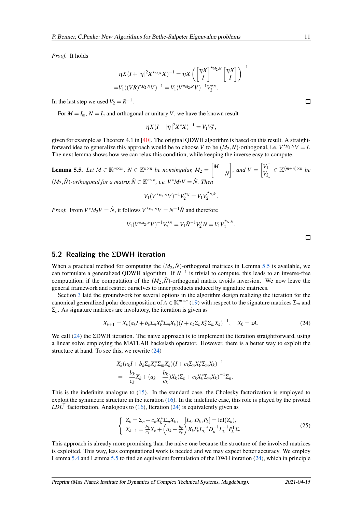*Proof.* It holds

$$
\eta X(I+|\eta|^2 X^{\star_{M,N}} X)^{-1} = \eta X \left( \begin{bmatrix} \eta X \\ I \end{bmatrix}^{\star_{M_2,N}} \begin{bmatrix} \eta X \\ I \end{bmatrix} \right)^{-1} = V_1((VR)^{\star_{M_2,N}} V)^{-1} = V_1(V^{\star_{M_2,N}} V)^{-1} V_2^{\star_N}.
$$

In the last step we used  $V_2 = R^{-1}$ .

For  $M = I_m$ ,  $N = I_n$  and orthogonal or unitary *V*, we have the known result

$$
\eta X(I+|\eta|^2 X^*X)^{-1}=V_1V_2^*,
$$

given for example as Theorem 4.1 in [\[40\]](#page-21-2). The original QDWH algorithm is based on this result. A straightforward idea to generalize this approach would be to choose *V* to be  $(M_2, N)$ -orthogonal, i.e.  $V^{\star_{M_2,N}}V = I$ . The next lemma shows how we can relax this condition, while keeping the inverse easy to compute.

<span id="page-10-0"></span>**Lemma 5.5.** *Let*  $M \in \mathbb{K}^{m \times m}$ ,  $N \in \mathbb{K}^{n \times n}$  *be nonsingular*,  $M_2 = \begin{bmatrix} M & 0 & 0 \\ 0 & M_1 & M_2 \end{bmatrix}$ *N*  $\left| \begin{array}{c} \end{array} \right|$ , and  $V = \begin{bmatrix} V_1 \\ V_2 \end{bmatrix}$ *V*2  $\Big] \in \mathbb{K}^{(m+n)\times n}$  be  $(M_2, \hat{N})$ -orthogonal for a matrix  $\hat{N} \in \mathbb{K}^{n \times n}$ , i.e.  $V^*M_2V = \hat{N}$ . Then

$$
V_1(V^{\star_{M_2,N}}V)^{-1}V_2^{\star_N}=V_1V_2^{\star_{N,\hat{N}}}.
$$

*Proof.* From  $V^*M_2V = \hat{N}$ , it follows  $V^{*M_2N}V = N^{-1}\hat{N}$  and therefore

$$
V_1(V^{\star_{M_2,N}}V)^{-1}V_2^{\star_N}=V_1\hat{N}^{-1}V_2^{\star}N=V_1V_2^{\star_{N,\hat{N}}}.
$$

#### 5.2 Realizing the ΣDWH iteration

When a practical method for computing the  $(M_2, \hat{N})$ -orthogonal matrices in Lemma [5.5](#page-10-0) is available, we can formulate a generalized QDWH algorithm. If *N* −1 is trivial to compute, this leads to an inverse-free computation, if the computation of the  $(M_2, \hat{N})$ -orthogonal matrix avoids inversion. We now leave the general framework and restrict ourselves to inner products induced by signature matrices.

Section [3](#page-3-0) laid the groundwork for several options in the algorithm design realizing the iteration for the canonical generalized polar decomposition of  $A \in \mathbb{K}^{m \times n}$  [\(19\)](#page-8-3) with respect to the signature matrices  $\Sigma_m$  and  $\Sigma_n$ . As signature matrices are involutory, the iteration is given as

$$
X_{k+1} = X_k (a_k I + b_k \Sigma_n X_k^* \Sigma_m X_k)(I + c_k \Sigma_n X_k^* \Sigma_m X_k)^{-1}, \quad X_0 = sA.
$$
 (24)

We call  $(24)$  the ΣDWH iteration. The naive approach is to implement the iteration straightforward, using a linear solve employing the MATLAB backslash operator. However, there is a better way to exploit the structure at hand. To see this, we rewrite [\(24\)](#page-10-1)

$$
X_k(a_kI + b_k\Sigma_n X_k^*\Sigma_m X_k)(I + c_k\Sigma_n X_k^*\Sigma_m X_k)^{-1}
$$
  
= 
$$
\frac{b_k}{c_k}X_k + (a_k - \frac{b_k}{c_k})X_k(\Sigma_n + c_k X_k^*\Sigma_m X_k)^{-1}\Sigma_n.
$$

This is the indefinite analogue to [\(15\)](#page-7-6). In the standard case, the Cholesky factorization is employed to exploit the symmetric structure in the iteration  $(16)$ . In the indefinite case, this role is played by the pivoted  $LDL<sup>T</sup>$  factorization. Analogous to [\(16\)](#page-7-1), Iteration [\(24\)](#page-10-1) is equivalently given as

<span id="page-10-2"></span>
$$
\begin{cases}\nZ_k = \Sigma_n + c_k X_k^* \Sigma_m X_k, \quad [L_k, D_k, P_k] = \text{Id}(Z_k), \\
X_{k+1} = \frac{b_k}{c_k} X_k + \left(a_k - \frac{b_k}{c_k}\right) X_k P_k L_k^{-*} D_k^{-1} L_k^{-1} P_k^{\mathsf{T}} \Sigma.\n\end{cases} \tag{25}
$$

This approach is already more promising than the naive one because the structure of the involved matrices is exploited. This way, less computational work is needed and we may expect better accuracy. We employ Lemma [5.4](#page-9-3) and Lemma [5.5](#page-10-0) to find an equivalent formulation of the DWH iteration [\(24\)](#page-10-1), which in principle

 $\Box$ 

<span id="page-10-1"></span> $\Box$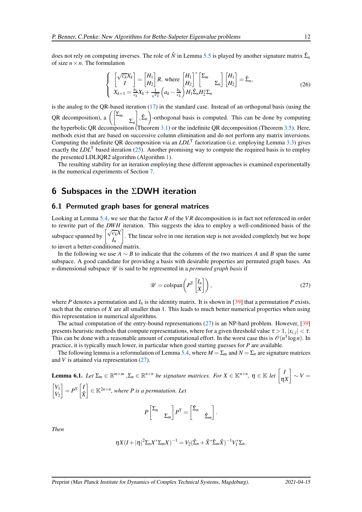does not rely on computing inverses. The role of  $\hat{N}$  in Lemma [5.5](#page-10-0) is played by another signature matrix  $\hat{\Sigma}_n$ of size  $n \times n$ . The formulation

<span id="page-11-2"></span>
$$
\begin{cases}\n\begin{bmatrix}\n\sqrt{c_k}X_k \\
I\n\end{bmatrix} = \begin{bmatrix} H_1 \\ H_2 \end{bmatrix}R, \text{ where } \begin{bmatrix} H_1 \\ H_2 \end{bmatrix}^* \begin{bmatrix} \Sigma_m \\ \Sigma_n \end{bmatrix} \begin{bmatrix} H_1 \\ H_2 \end{bmatrix} = \hat{\Sigma}_n, \\
X_{k+1} = \frac{b_k}{c_k}X_k + \frac{1}{\sqrt{c_k}} \left( a_k - \frac{b_k}{c_k} \right) H_1 \hat{\Sigma}_n H_2^* \Sigma_n\n\end{cases}
$$
\n(26)

is the analog to the QR-based iteration [\(17\)](#page-7-2) in the standard case. Instead of an orthogonal basis (using the QR decomposition), a  $\left( \int \sum_{m}$ Σ*n*  $\left( \int_{0}^{1}\hat{\Sigma}_{n}\right)$ -orthogonal basis is computed. This can be done by computing the hyperbolic QR decomposition (Theorem [3.1\)](#page-3-1) or the indefinite QR decomposition (Theorem [3.5\)](#page-5-2). Here, methods exist that are based on successive column elimination and do not perform any matrix inversions. Computing the indefinite QR decomposition via an *LDL*<sup>T</sup> factorization (i.e. employing Lemma [3.3\)](#page-5-3) gives exactly the  $LDL<sup>T</sup>$  based iteration [\(25\)](#page-10-2). Another promising way to compute the required basis is to employ the presented LDLIQR2 algorithm (Algorithm [1\)](#page-6-1).

The resulting stability for an iteration employing these different approaches is examined experimentally in the numerical experiments of Section [7.](#page-15-0)

## <span id="page-11-0"></span>6 Subspaces in the ΣDWH iteration

#### 6.1 Permuted graph bases for general matrices

Looking at Lemma [5.4,](#page-9-3) we see that the factor *R* of the *VR* decomposition is in fact not referenced in order to rewrite part of the *DWH* iteration. This suggests the idea to employ a well-conditioned basis of the subspace spanned by  $\left[\sqrt{\frac{c_k}{I}}X\right]$ *In* . The linear solve in one iteration step is not avoided completely but we hope to invert a better-conditioned matrix.

In the following we use  $A \sim B$  to indicate that the columns of the two matrices A and B span the same subspace. A good candidate for providing a basis with desirable properties are permuted graph bases. An *n*-dimensional subspace  $\mathcal U$  is said to be represented in a *permuted graph basis* if

<span id="page-11-1"></span>
$$
\mathscr{U} = \text{colspan}\left(P^{\mathsf{T}}\begin{bmatrix}I_n\\X\end{bmatrix}\right),\tag{27}
$$

where *P* denotes a permutation and  $I_n$  is the identity matrix. It is shown in [\[39\]](#page-21-16) that a permutation *P* exists, such that the entries of *X* are all smaller than 1. This leads to much better numerical properties when using this representation in numerical algorithms.

The actual computation of the entry-bound representations  $(27)$  is an NP-hard problem. However, [\[39\]](#page-21-16) presents heuristic methods that compute representations, where for a given threshold value  $\tau > 1$ ,  $|x_{i,j}| < \tau$ . This can be done with a reasonable amount of computational effort. In the worst case this is  $\mathcal{O}(n^3 \log n)$ . In practice, it is typically much lower, in particular when good starting guesses for *P* are available.

The following lemma is a reformulation of Lemma [5.4,](#page-9-3) where  $M = \sum_m$  and  $N = \sum_n$  are signature matrices and *V* is attained via representation [\(27\)](#page-11-1).

**Lemma 6.1.** Let 
$$
\Sigma_m \in \mathbb{R}^{m \times m}
$$
,  $\Sigma_n \in \mathbb{R}^{n \times n}$  be signature matrices. For  $X \in \mathbb{K}^{n \times n}$ ,  $\eta \in \mathbb{K}$  let  $\begin{bmatrix} I \\ \eta X \end{bmatrix} \sim V = \begin{bmatrix} V_1 \\ V_2 \end{bmatrix} = P^T \begin{bmatrix} I \\ \hat{X} \end{bmatrix} \in \mathbb{K}^{2n \times n}$ , where P is a permutation. Let

$$
P\begin{bmatrix} \Sigma_n & \\ & \Sigma_m \end{bmatrix} P^{\mathsf{T}} = \begin{bmatrix} \hat{\Sigma}_n & \\ & \hat{\Sigma}_m \end{bmatrix}.
$$

*Then*

$$
\eta X (I + |\eta|^2 \Sigma_n X^* \Sigma_m X)^{-1} = V_2 (\hat{\Sigma}_n + \hat{X}^* \hat{\Sigma}_m \hat{X})^{-1} V_1^* \Sigma_n.
$$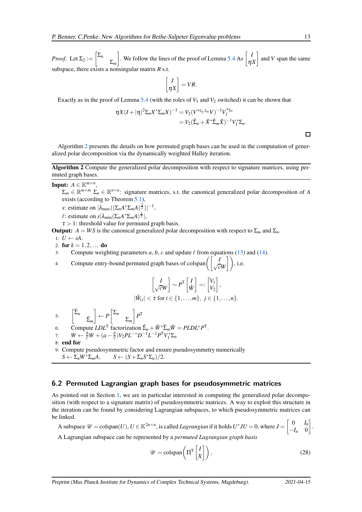*Proof.* Let  $\Sigma_2 := \left[ \sum_{n=1}^{\infty} \frac{1}{n} \right]$ Σ*<sup>m</sup>* we follow the lines of the proof of Lemma [5.4](#page-9-3) As  $\begin{bmatrix} I \\ n \end{bmatrix}$ η*X* and *V* span the same subspace, there exists a nonsingular matrix *R* s.t.

$$
\begin{bmatrix} I \\ \eta X \end{bmatrix} = VR.
$$

Exactly as in the proof of Lemma [5.4](#page-9-3) (with the roles of  $V_1$  and  $V_2$  switched) it can be shown that

$$
\begin{aligned} \eta X (I+|\eta|^2 \Sigma_n X^* \Sigma_m X)^{-1} &= V_2 (V^{\star_{\Sigma_2, \Sigma_n}} V)^{-1} V_1^{\star_{\Sigma_n}} \\ &= V_2 (\hat{\Sigma}_n + \hat{X}^* \hat{\Sigma}_m \hat{X})^{-1} V_1^* \Sigma_n. \end{aligned}
$$

 $\Box$ 

<span id="page-12-0"></span>Algorithm [2](#page-12-0) presents the details on how permuted graph bases can be used in the computation of generalized polar decomposition via the dynamically weighted Halley iteration.

Algorithm 2 Compute the generalized polar decomposition with respect to signature matrices, using permuted graph bases.

**Input:**  $A \in \mathbb{K}^{m \times n}$ ,  $\Sigma_m \in \mathbb{R}^{m \times m}$   $\Sigma_n \in \mathbb{R}^{n \times n}$ : signature matrices, s.t. the canonical generalized polar decomposition of *A* exists (according to Theorem [5.1\)](#page-8-2), *s*: estimate on  $|\lambda_{\text{max}}((\Sigma_n A^* \Sigma_m A)^{\frac{1}{2}})|^{-1}$ ,  $\ell$ : estimate on  $s|\lambda_{\min}(\Sigma_n A^* \Sigma_m A)^{\frac{1}{2}}|$ ,  $\tau > 1$ : threshold value for permuted graph basis. **Output:**  $A = WS$  is the canonical generalized polar decomposition with respect to  $\Sigma_m$  and  $\Sigma_n$ . 1:  $U \leftarrow sA$ . 2: for  $k = 1, 2, ...$  do 3: Compute weighting parameters *a*, *b*, *c* and update  $\ell$  from equations [\(13\)](#page-7-0) and [\(14\)](#page-7-5). 4: Compute entry-bound permuted graph bases of colspan $\left( \begin{bmatrix} I \\ \sqrt{c}W \end{bmatrix} \right)$ , i.e. *I*  $\left[\frac{I}{\sqrt{c}W}\right] \sim P^{\mathsf{T}}\left[\frac{I}{\hat{W}}\right]$ *W*ˆ  $\Big] =: \Big[ \begin{matrix} V_1 \\ V_2 \end{matrix} \Big]$ *V*2 ,  $|\hat{W}_{ij}| < \tau$  for  $i \in \{1, \ldots, m\}, \ j \in \{1, \ldots, n\}.$ 5:  $\left[\begin{matrix} \hat{\Sigma}_n & \\ & \hat{\Sigma}_m \end{matrix}\right]$  $\Big] \leftarrow P \Big[ \begin{matrix} \Sigma_n \end{matrix}$ Σ*<sup>m</sup>*  $\bigg]$   $P^{\mathsf{T}}$ 6: Compute  $LDL^{T}$  factorization  $\hat{\Sigma}_n + \hat{W}^* \hat{\Sigma}_m \hat{W} = PLDL^*P^{T}$ . 7:  $W \leftarrow \frac{b}{c}W + (a - \frac{b}{c})V_2PL^{-*}D^{-1}L^{-1}P^{\mathsf{T}}V_1^*\Sigma_n$ 8: end for 9: Compute pseudosymmetric factor and ensure pseudosymmetry numerically  $S \leftarrow \sum_n W^* \sum_m A, \qquad S \leftarrow (S + \sum_n S^* \sum_n )/2.$ 

#### 6.2 Permuted Lagrangian graph bases for pseudosymmetric matrices

As pointed out in Section [1,](#page-0-1) we are in particular interested in computing the generalized polar decomposition (with respect to a signature matrix) of pseudosymmetric matrices. A way to exploit this structure in the iteration can be found by considering Lagrangian subspaces, to which pseudosymmetric matrices can be linked.

A subspace  $\mathcal{U} = \text{colspan}(U), U \in \mathbb{K}^{2n \times n}$ , is called *Lagrangian* if it holds  $U^*JU = 0$ , where  $J = \begin{bmatrix} 0 & I_n \\ -I_n & 0 \end{bmatrix}$ −*I<sup>n</sup>* 0 .

A Lagrangian subspace can be represented by a *permuted Lagrangian graph basis*

<span id="page-12-1"></span>
$$
\mathscr{U} = \text{colspan}\left(\Pi^{\mathsf{T}}\begin{bmatrix} I \\ X \end{bmatrix}\right),\tag{28}
$$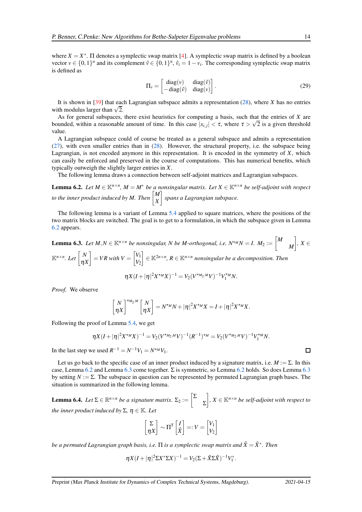where  $X = X^*$ .  $\Pi$  denotes a symplectic swap matrix [\[4\]](#page-19-5). A symplectic swap matrix is defined by a boolean vector  $v \in \{0,1\}^n$  and its complement  $\hat{v} \in \{0,1\}^n$ ,  $\hat{v}_i = 1 - v_i$ . The corresponding symplectic swap matrix is defined as

<span id="page-13-2"></span>
$$
\Pi_{\nu} = \begin{bmatrix} \text{diag}(\nu) & \text{diag}(\hat{\nu}) \\ -\text{diag}(\hat{\nu}) & \text{diag}(\nu) \end{bmatrix} . \tag{29}
$$

It is shown in [\[39\]](#page-21-16) that each Lagrangian subspace admits a representation [\(28\)](#page-12-1), where *X* has no entries with modulus larger than  $\sqrt{2}$ .

As for general subspaces, there exist heuristics for computing a basis, such that the entries of *X* are bounded, within a reasonable amount of time. In this case  $|x_{i,j}| < \tau$ , where  $\tau > \sqrt{2}$  is a given threshold value.

A Lagrangian subspace could of course be treated as a general subspace and admits a representation [\(27\)](#page-11-1), with even smaller entries than in [\(28\)](#page-12-1). However, the structural property, i.e. the subspace being Lagrangian, is not encoded anymore in this representation. It is encoded in the symmetry of *X*, which can easily be enforced and preserved in the course of computations. This has numerical benefits, which typically outweigh the slightly larger entries in *X*.

<span id="page-13-0"></span>The following lemma draws a connection between self-adjoint matrices and Lagrangian subspaces.

**Lemma 6.2.** Let  $M \in \mathbb{K}^{n \times n}$ ,  $M = M^*$  be a nonsingular matrix. Let  $X \in \mathbb{K}^{n \times n}$  be self-adjoint with respect *to the inner product induced by M. Then*  $\begin{bmatrix} M \\ v \end{bmatrix}$ *X spans a Lagrangian subspace.*

The following lemma is a variant of Lemma [5.4](#page-9-3) applied to square matrices, where the positions of the two matrix blocks are switched. The goal is to get to a formulation, in which the subspace given in Lemma [6.2](#page-13-0) appears.

<span id="page-13-1"></span>**Lemma 6.3.** Let 
$$
M, N \in \mathbb{K}^{n \times n}
$$
 be nonsingular,  $N$  be  $M$ -orthogonal, i.e.  $N^{\star} \triangle N = I$ .  $M_2 := \begin{bmatrix} M \\ M \end{bmatrix}$ ,  $X \in \mathbb{K}^{n \times n}$ . Let  $\begin{bmatrix} N \\ \eta X \end{bmatrix} = VR$  with  $V = \begin{bmatrix} V_1 \\ V_2 \end{bmatrix} \in \mathbb{K}^{2n \times n}$ ,  $R \in \mathbb{K}^{n \times n}$  nonsingular be a decomposition. Then

$$
\eta X(I+|\eta|^2 X^{*M} X)^{-1} = V_2(V^{*M_2,M}V)^{-1} V_1^{*M} N.
$$

*Proof.* We observe

$$
\begin{bmatrix} N \\ \eta X \end{bmatrix}^{\star M_2, M} \begin{bmatrix} N \\ \eta X \end{bmatrix} = N^{\star M} N + |\eta|^2 X^{\star M} X = I + |\eta|^2 X^{\star M} X.
$$

Following the proof of Lemma [5.4,](#page-9-3) we get

$$
\eta X(I+|\eta|^2 X^{\star M} X)^{-1} = V_2(V^{\star M_2,M} V)^{-1} (R^{-1})^{\star M} = V_2(V^{\star M_2,M} V)^{-1} V_1^{\star M} N.
$$

In the last step we used  $R^{-1} = N^{-1}V_1 = N^{*M}V_1$ .

Let us go back to the specific case of an inner product induced by a signature matrix, i.e.  $M := \Sigma$ . In this case, Lemma [6.2](#page-13-0) and Lemma [6.3](#page-13-1) come together.  $\Sigma$  is symmetric, so Lemma 6.2 holds. So does Lemma 6.3 by setting  $N := \Sigma$ . The subspace in question can be represented by permuted Lagrangian graph bases. The situation is summarized in the following lemma.

**Lemma 6.4.** *Let*  $\Sigma \in \mathbb{R}^{n \times n}$  *be a signature matrix.*  $\Sigma_2 := \left[ \sum_{i=1}^{n} \frac{1}{i} \right]$ Σ *, X* <sup>∈</sup> <sup>K</sup>*n*×*<sup>n</sup> be self-adjoint with respect to the inner product induced by*  $\Sigma$ ,  $\eta \in \mathbb{K}$ *. Let* 

$$
\begin{bmatrix} \Sigma \\ \eta X \end{bmatrix} \sim \Pi^{\mathsf{T}} \begin{bmatrix} I \\ \hat{X} \end{bmatrix} =: V = \begin{bmatrix} V_1 \\ V_2 \end{bmatrix}
$$

*be a permuted Lagrangian graph basis, i.e.* Π *is a symplectic swap matrix and X*ˆ = *X*ˆ <sup>∗</sup> *. Then*

$$
\eta X(I+|\eta|^2 \Sigma X^* \Sigma X)^{-1} = V_2(\Sigma + \hat{X} \Sigma \hat{X})^{-1} V_1^*.
$$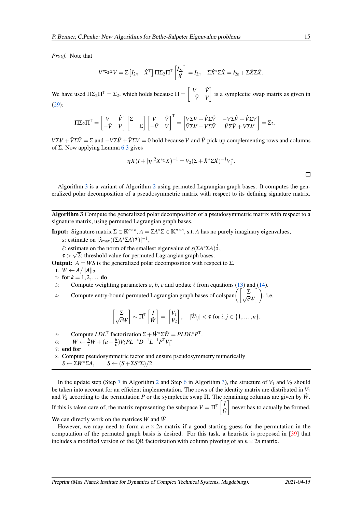*Proof.* Note that

$$
V^{\star_{\Sigma_2,\Sigma}}V = \Sigma \begin{bmatrix} I_{2n} & \hat{X}^{\top} \end{bmatrix} \Pi \Sigma_2 \Pi^{\top} \begin{bmatrix} I_{2n} \\ \hat{X} \end{bmatrix} = I_{2n} + \Sigma \hat{X}^{\star} \Sigma \hat{X} = I_{2n} + \Sigma \hat{X} \Sigma \hat{X}.
$$

We have used  $\Pi \Sigma_2 \Pi^{\mathsf{T}} = \Sigma_2$ , which holds because  $\Pi = \begin{bmatrix} V & \hat{V} \\ \hat{V} & V \end{bmatrix}$ <sup>−</sup>*V V* <sup>ˆ</sup> is a symplectic swap matrix as given in [\(29\)](#page-13-2):

$$
\Pi\Sigma_2\Pi^{\mathsf{T}} = \begin{bmatrix} V & \hat{V} \\ -\hat{V} & V \end{bmatrix} \begin{bmatrix} \Sigma & \\ & \Sigma \end{bmatrix} \begin{bmatrix} V & \hat{V} \\ -\hat{V} & V \end{bmatrix}^{\mathsf{T}} = \begin{bmatrix} V\Sigma V + \hat{V}\Sigma \hat{V} & -V\Sigma \hat{V} + \hat{V}\Sigma V \\ \hat{V}\Sigma V - V\Sigma \hat{V} & \hat{V}\Sigma \hat{V} + V\Sigma V \end{bmatrix} = \Sigma_2.
$$

 $V\Sigma V + \hat{V}\Sigma \hat{V} = \Sigma$  and  $-V\Sigma \hat{V} + \hat{V}\Sigma V = 0$  hold because *V* and  $\hat{V}$  pick up complementing rows and columns of Σ. Now applying Lemma [6.3](#page-13-1) gives

$$
\eta X (I+|\eta|^2 X^{* \Sigma} X)^{-1} = V_2 (\Sigma + \hat{X}^* \Sigma \hat{X})^{-1} V_1^*.
$$

Algorithm [3](#page-14-0) is a variant of Algorithm [2](#page-12-0) using permuted Lagrangian graph bases. It computes the generalized polar decomposition of a pseudosymmetric matrix with respect to its defining signature matrix.

<span id="page-14-0"></span>Algorithm 3 Compute the generalized polar decomposition of a pseudosymmetric matrix with respect to a signature matrix, using permuted Lagrangian graph bases.

**Input:** Signature matrix  $\Sigma \in \mathbb{K}^{n \times n}$ ,  $A = \Sigma A^* \Sigma \in \mathbb{K}^{n \times n}$ , s.t. *A* has no purely imaginary eigenvalues,

*s*: estimate on  $|\lambda_{\text{max}}((\Sigma A^* \Sigma A)^{\frac{1}{2}})|^{-1}$ ,

 $\ell$ : estimate on the norm of the smallest eigenvalue of  $s(\Sigma A^* \Sigma A)^{\frac{1}{2}}$ ,

 $\tau > \sqrt{2}$ : threshold value for permuted Lagrangian graph bases.

**Output:**  $A = WS$  is the generalized polar decomposition with respect to  $\Sigma$ .

- 1:  $W \leftarrow A / ||A||_2.$
- 2: for  $k = 1, 2, ...$  do

3: Compute weighting parameters  $a, b, c$  and update  $\ell$  from equations [\(13\)](#page-7-0) and [\(14\)](#page-7-5).

4: Compute entry-bound permuted Lagrangian graph bases of colspan $\left(\begin{bmatrix} \Sigma \\ \sqrt{c}W \end{bmatrix}\right)$ , i.e.

$$
\begin{bmatrix} \Sigma \\ \sqrt{c}W \end{bmatrix} \sim \Pi^{\mathsf{T}} \begin{bmatrix} I \\ \hat{W} \end{bmatrix} =: \begin{bmatrix} V_1 \\ V_2 \end{bmatrix}, \quad |\hat{W}_{ij}| < \tau \text{ for } i, j \in \{1, \ldots, n\}.
$$

5: Compute  $LDL^{\mathsf{T}}$  factorization  $\Sigma + \hat{W}^* \Sigma \hat{W} = PLDL^*P^{\mathsf{T}}$ .

- 6:  $W \leftarrow \frac{b}{c}W + (a \frac{b}{c})V_2PL^{-*}D^{-1}L^{-1}P^{\mathsf{T}}V_1^*$
- 7: end for
- 8: Compute pseudosymmetric factor and ensure pseudosymmetry numerically
- $S \leftarrow \Sigma W^* \Sigma A, \qquad S \leftarrow (S + \Sigma S^* \Sigma) / 2.$

In the update step (Step [7](#page-12-0) in Algorithm [2](#page-12-0) and Step [6](#page-14-0) in Algorithm [3\)](#page-14-0), the structure of  $V_1$  and  $V_2$  should be taken into account for an efficient implementation. The rows of the identity matrix are distributed in  $V_1$ and  $V_2$  according to the permutation *P* or the symplectic swap  $\Pi$ . The remaining columns are given by  $\hat{W}$ .

If this is taken care of, the matrix representing the subspace  $V = \Pi^{\mathsf{T}} \begin{bmatrix} I \\ I \end{bmatrix}$  $\hat{U}$ never has to actually be formed.

We can directly work on the matrices *W* and *W*ˆ .

However, we may need to form a  $n \times 2n$  matrix if a good starting guess for the permutation in the computation of the permuted graph basis is desired. For this task, a heuristic is proposed in [\[39\]](#page-21-16) that includes a modified version of the QR factorization with column pivoting of an  $n \times 2n$  matrix.

 $\Box$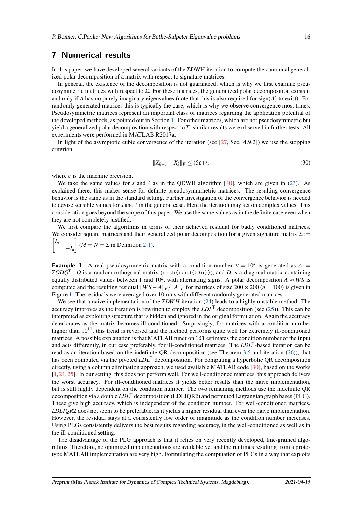## <span id="page-15-0"></span>7 Numerical results

In this paper, we have developed several variants of the ΣDWH iteration to compute the canonical generalized polar decomposition of a matrix with respect to signature matrices.

In general, the existence of the decomposition is not guaranteed, which is why we first examine pseudosymmetric matrices with respect to Σ. For these matrices, the generalized polar decomposition exists if and only if *A* has no purely imaginary eigenvalues (note that this is also required for  $sign(A)$  to exist). For randomly generated matrices this is typically the case, which is why we observe convergence most times. Pseudosymmetric matrices represent an important class of matrices regarding the application potential of the developed methods, as pointed out in Section [1.](#page-0-1) For other matrices, which are not pseudosymmetric but yield a generalized polar decomposition with respect to Σ, similar results were observed in further tests. All experiments were performed in MATLAB R2017a.

In light of the asymptotic cubic convergence of the iteration (see  $[27, \text{Sec. } 4.9.2]$ ) we use the stopping criterion

<span id="page-15-1"></span>
$$
||X_{k+1} - X_k||_F \le (5\varepsilon)^{\frac{1}{3}},\tag{30}
$$

where  $\varepsilon$  is the machine precision.

We take the same values for *s* and  $\ell$  as in the QDWH algorithm [\[40\]](#page-21-2), which are given in [\(23\)](#page-9-4). As explained there, this makes sense for definite pseudosymmmetric matrices. The resulting convergence behavior is the same as in the standard setting. Further investigation of the convergence behavior is needed to devise sensible values for  $s$  and  $\ell$  in the general case. Here the iteration may act on complex values. This consideration goes beyond the scope of this paper. We use the same values as in the definite case even when they are not completely justified.

We first compare the algorithms in terms of their achieved residual for badly conditioned matrices. We consider square matrices and their generalized polar decomposition for a given signature matrix  $\Sigma$ :=

 $\sqrt{ }$ *In* −*I<sup>n</sup>*  $\left[ (M = N = \Sigma \text{ in Definition 2.1}). \right]$ 

**Example 1** A real pseudosymmetric matrix with a condition number  $\kappa = 10^k$  is generated as A :=  $\Sigma ODO^{T}$ . *Q* is a random orthogonal matrix (orth(rand(2\*n))), and *D* is a diagonal matrix containing equally distributed values between 1 and  $10^k$ , with alternating signs. A polar decomposition  $A \approx WS$  is computed and the resulting residual  $\frac{WS-A}{F}$ *A* $\frac{F}{A}$ **F** for matrices of size 200 × 200 (*n* = 100) is given in Figure [1.](#page-16-0) The residuals were averaged over 10 runs with different randomly generated matrices.

We see that a naive implementation of the Σ*DWH* iteration [\(24\)](#page-10-1) leads to a highly unstable method. The accuracy improves as the iteration is rewritten to employ the  $LDL<sup>T</sup>$  decomposition (see [\(25\)](#page-10-2)). This can be interpreted as exploiting structure that is hidden and ignored in the original formulation. Again the accuracy deteriorates as the matrix becomes ill-conditioned. Surprisingly, for matrices with a condition number higher than  $10^{11}$ , this trend is reversed and the method performs quite well for extremely ill-conditioned matrices. A possible explanation is that MATLAB function ldl estimates the condition number of the input and acts differently, in our case preferably, for ill-conditioned matrices. The *LDL*<sup>T</sup>-based iteration can be read as an iteration based on the indefinite QR decomposition (see Theorem [3.5](#page-5-2) and iteration [\(26\)](#page-11-2)), that has been computed via the pivoted *LDL*<sup>T</sup> decomposition. For computing a hyperbolic QR decomposition directly, using a column elimination approach, we used available MATLAB code [\[30\]](#page-21-17), based on the works [\[1,](#page-19-6) [21,](#page-20-15) [25\]](#page-20-16). In our setting, this does not perform well. For well-conditioned matrices, this approach delivers the worst accuracy. For ill-conditioned matrices it yields better results than the naive implementation, but is still highly dependent on the condition number. The two remaining methods use the indefinite QR decomposition via a double *LDL*<sup>T</sup> decomposition (LDLIQR2) and permuted Lagrangian graph bases (PLG). These give high accuracy, which is independent of the condition number. For well-conditioned matrices, *LDLIQR*2 does not seem to be preferable, as it yields a higher residual than even the naive implementation. However, the residual stays at a consistently low order of magnitude as the condition number increases. Using PLGs consistently delivers the best results regarding accuracy, in the well-conditioned as well as in the ill-conditioned setting.

The disadvantage of the PLG approach is that it relies on very recently developed, fine-grained algorithms. Therefore, no optimized implementations are available yet and the runtimes resulting from a prototype MATLAB implementation are very high. Formulating the computation of PLGs in a way that exploits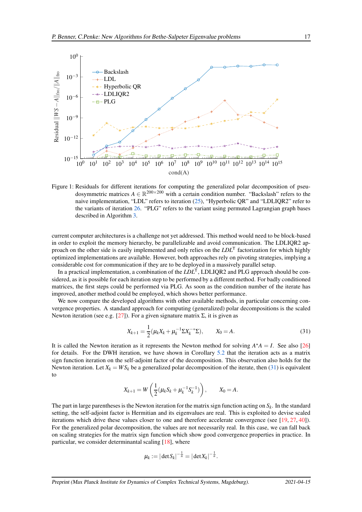<span id="page-16-0"></span>

Figure 1: Residuals for different iterations for computing the generalized polar decomposition of pseudosymmetric matrices  $A \in \mathbb{R}^{200 \times 200}$  with a certain condition number. "Backslash" refers to the naive implementation, "LDL" refers to iteration [\(25\)](#page-10-2), "Hyperbolic QR" and "LDLIQR2" refer to the variants of iteration [26.](#page-11-2) "PLG" refers to the variant using permuted Lagrangian graph bases described in Algorithm [3.](#page-14-0)

current computer architectures is a challenge not yet addressed. This method would need to be block-based in order to exploit the memory hierarchy, be parallelizable and avoid communication. The LDLIQR2 approach on the other side is easily implemented and only relies on the *LDL*<sup>T</sup> factorization for which highly optimized implementations are available. However, both approaches rely on pivoting strategies, implying a considerable cost for communication if they are to be deployed in a massively parallel setup.

In a practical implementation, a combination of the *LDL*<sup>T</sup>, LDLIQR2 and PLG approach should be considered, as it is possible for each iteration step to be performed by a different method. For badly conditioned matrices, the first steps could be performed via PLG. As soon as the condition number of the iterate has improved, another method could be employed, which shows better performance.

We now compare the developed algorithms with other available methods, in particular concerning convergence properties. A standard approach for computing (generalized) polar decompositions is the scaled Newton iteration (see e.g. [\[27\]](#page-21-0)). For a given signature matrix  $\Sigma$ , it is given as

<span id="page-16-1"></span>
$$
X_{k+1} = \frac{1}{2} (\mu_k X_k + \mu_k^{-1} \Sigma X_k^{-*} \Sigma), \qquad X_0 = A.
$$
 (31)

It is called the Newton iteration as it represents the Newton method for solving  $A^{\star}A = I$ . See also [\[26\]](#page-20-7) for details. For the DWH iteration, we have shown in Corollary [5.2](#page-8-5) that the iteration acts as a matrix sign function iteration on the self-adjoint factor of the decomposition. This observation also holds for the Newton iteration. Let  $X_k = WS_k$  be a generalized polar decomposition of the iterate, then [\(31\)](#page-16-1) is equivalent to

$$
X_{k+1} = W\left(\frac{1}{2}(\mu_k S_k + \mu_k^{-1} S_k^{-1})\right), \qquad X_0 = A.
$$

The part in large parentheses is the Newton iteration for the matrix sign function acting on  $S_k$ . In the standard setting, the self-adjoint factor is Hermitian and its eigenvalues are real. This is exploited to devise scaled iterations which drive these values closer to one and therefore accelerate convergence (see [\[19,](#page-20-17) [27,](#page-21-0) [40\]](#page-21-2)). For the generalized polar decomposition, the values are not necessarily real. In this case, we can fall back on scaling strategies for the matrix sign function which show good convergence properties in practice. In particular, we consider determinantal scaling [\[18\]](#page-20-18), where

$$
\mu_k := |\det S_k|^{-\frac{1}{n}} = |\det X_k|^{-\frac{1}{n}}.
$$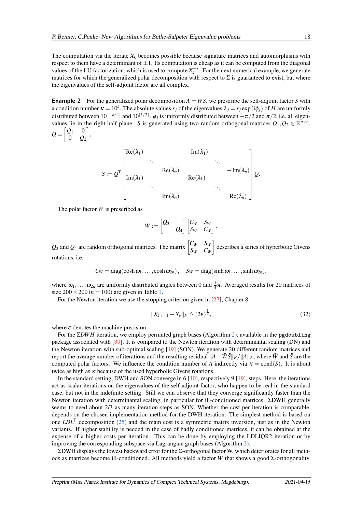The computation via the iterate  $X_k$  becomes possible because signature matrices and automorphisms with respect to them have a determinant of  $\pm 1$ . Its computation is cheap as it can be computed from the diagonal values of the LU factorization, which is used to compute  $X_k^{-*}$ . For the next numerical example, we generate matrices for which the generalized polar decomposition with respect to  $\Sigma$  is guaranteed to exist, but where the eigenvalues of the self-adjoint factor are all complex.

**Example 2** For the generalized polar decomposition  $A = WS$ , we prescribe the self-adjoint factor *S* with a condition number  $\kappa = 10^k$ . The absolute values  $r_j$  of the eigenvalues  $\lambda_j = r_j \exp(i\phi_j)$  of *H* are uniformly distributed between  $10^{-\lfloor k/2 \rfloor}$  and  $10^{\lceil k/2 \rceil}$ .  $\phi_j$  is uniformly distributed between  $-\pi/2$  and  $\pi/2$ , i.e. all eigenvalues lie in the right half plane. *S* is generated using two random orthogonal matrices  $Q_1, Q_2 \in \mathbb{R}^{n \times n}$ ,  $\begin{bmatrix} Q_1 & 0 \end{bmatrix}$ 1

$$
Q=\begin{bmatrix}Q_1 & 0 \\ 0 & Q_2\end{bmatrix},
$$

$$
S := Q^{T} \begin{bmatrix} Re(\lambda_{1}) & -Im(\lambda_{1}) & & & \\ & \ddots & & \ddots & \ddots \\ Im(\lambda_{1}) & & & Re(\lambda_{n}) & & \\ & \ddots & & & & \ddots \\ & & & Im(\lambda_{n}) & & & \\ & & & & & Re(\lambda_{n}) \end{bmatrix} Q.
$$

The polar factor *W* is prescribed as

$$
W := \begin{bmatrix} Q_3 & & \\ & Q_4 \end{bmatrix} \begin{bmatrix} C_W & S_W \\ S_W & C_W \end{bmatrix}
$$

Q<sub>3</sub> and Q<sub>4</sub> are random orthogonal matrices. The matrix  $\begin{bmatrix} C_W & S_W \\ S_W & C_W \end{bmatrix}$ *S<sup>W</sup> C<sup>W</sup>* describes a series of hyperbolic Givens rotations, i.e.

$$
C_W = \text{diag}(\cosh \omega_1, \ldots, \cosh \omega_{2n}), \quad S_W = \text{diag}(\sinh \omega_1, \ldots, \sinh \omega_{2n}),
$$

where  $\omega_1, \ldots, \omega_{2n}$  are uniformly distributed angles between 0 and  $\frac{1}{4}\pi$ . Averaged results for 20 matrices of size  $200 \times 200$  ( $n = 100$ ) are given in Table [1.](#page-18-1)

For the Newton iteration we use the stopping criterion given in [\[27\]](#page-21-0), Chapter 8:

$$
||X_{k+1} - X_k||_F \leqq (2\varepsilon)^{\frac{1}{2}},
$$
\n(32)

.

where  $\varepsilon$  denotes the machine precision.

For the Σ*DWH* iteration, we employ permuted graph bases (Algorithm [2\)](#page-12-0), available in the pgdoubling package associated with [\[39\]](#page-21-16). It is compared to the Newton iteration with determinantal scaling (DN) and the Newton iteration with sub-optimal scaling [\[19\]](#page-20-17) (SON). We generate 20 different random matrices and report the average number of iterations and the resulting residual  $||A-\tilde{W}\tilde{S}||_F/||A||_F$ , where  $\tilde{W}$  and  $\tilde{S}$  are the computed polar factors. We influence the condition number of *A* indirectly via  $\kappa = \text{cond}(S)$ . It is about twice as high as  $\kappa$  because of the used hyperbolic Givens rotations.

In the standard setting, DWH and SON converge in 6 [\[40\]](#page-21-2), respectively 9 [\[19\]](#page-20-17), steps. Here, the iterations act as scalar iterations on the eigenvalues of the self-adjoint factor, who happen to be real in the standard case, but not in the indefinite setting. Still we can observe that they converge significantly faster than the Newton iteration with determinantal scaling, in particular for ill-conditioned matrices. ΣDWH generally seems to need about 2/3 as many iteration steps as SON. Whether the cost per iteration is comparable, depends on the chosen implementation method for the DWH iteration. The simplest method is based on one *LDL*<sup>T</sup> decomposition [\(25\)](#page-10-2) and the main cost is a symmetric matrix inversion, just as in the Newton variants. If higher stability is needed in the case of badly conditioned matrices, it can be obtained at the expense of a higher costs per iteration. This can be done by employing the LDLIQR2 iteration or by improving the corresponding subspace via Lagrangian graph bases (Algorithm [2\)](#page-12-0).

ΣDWH displays the lowest backward error for the Σ-orthogonal factor W, which deteriorates for all methods as matrices become ill-conditioned. All methods yield a factor *W* that shows a good Σ-orthogonality.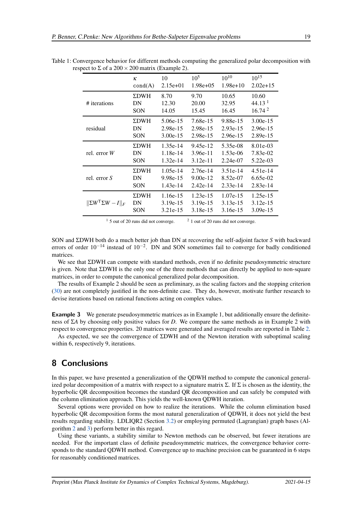|                                          | $\kappa$    | 10         | $10^{5}$    | $10^{10}$  | $10^{15}$          |
|------------------------------------------|-------------|------------|-------------|------------|--------------------|
|                                          | cond(A)     | $2.15e+01$ | $1.98e+0.5$ | $1.98e+10$ | $2.02e+15$         |
| # iterations                             | <b>ΣDWH</b> | 8.70       | 9.70        | 10.65      | 10.60              |
|                                          | DN          | 12.30      | 20.00       | 32.95      | 44.13 <sup>1</sup> |
|                                          | <b>SON</b>  | 14.05      | 15.45       | 16.45      | 16.74 <sup>2</sup> |
| residual                                 | <b>ΣDWH</b> | 5.06e-15   | 7.68e-15    | 9.88e-15   | $3.00e-15$         |
|                                          | DN          | 2.98e-15   | 2.98e-15    | $2.93e-15$ | 2.96e-15           |
|                                          | <b>SON</b>  | $3.00e-15$ | 2.98e-15    | $2.96e-15$ | 2.89e-15           |
| rel. error $W$                           | <b>ΣDWH</b> | 1.35e-14   | 9.45e-12    | 5.35e-08   | 8.01e-03           |
|                                          | DN          | 1.18e-14   | $3.96e-11$  | 1.53e-06   | 7.83e-02           |
|                                          | <b>SON</b>  | $1.32e-14$ | $3.12e-11$  | $2.24e-07$ | $5.22e-03$         |
| rel. error $S$                           | <b>ΣDWH</b> | 1.05e-14   | $2.76e-14$  | $3.51e-14$ | $4.51e-14$         |
|                                          | DN          | 9.98e-15   | $9.00e-12$  | 8.52e-07   | $6.65e-02$         |
|                                          | <b>SON</b>  | $1.43e-14$ | $2.42e-14$  | $2.33e-14$ | 2.83e-14           |
| $\ \Sigma W^\mathsf{T} \Sigma W - I\ _F$ | <b>ΣDWH</b> | 1.16e-15   | $1.23e-15$  | $1.07e-15$ | $1.25e-15$         |
|                                          | DN          | $3.19e-15$ | $3.19e-15$  | $3.13e-15$ | $3.12e-15$         |
|                                          | <b>SON</b>  | 3.21e-15   | $3.18e-15$  | $3.16e-15$ | $3.09e-15$         |

<span id="page-18-1"></span>Table 1: Convergence behavior for different methods computing the generalized polar decomposition with respect to  $\Sigma$  of a 200  $\times$  200 matrix (Example 2).

 $1\,$  5 out of 20 runs did not converge.  $2\,$  1 out of 20 runs did not converge.

SON and ΣDWH both do a much better job than DN at recovering the self-adjoint factor *S* with backward errors of order  $10^{-14}$  instead of  $10^{-2}$ . DN and SON sometimes fail to converge for badly conditioned matrices.

We see that ΣDWH can compete with standard methods, even if no definite pseudosymmetric structure is given. Note that ΣDWH is the only one of the three methods that can directly be applied to non-square matrices, in order to compute the canonical generalized polar decomposition.

The results of Example 2 should be seen as preliminary, as the scaling factors and the stopping criterion [\(30\)](#page-15-1) are not completely justified in the non-definite case. They do, however, motivate further research to devise iterations based on rational functions acting on complex values.

**Example 3** We generate pseudosymmetric matrices as in Example 1, but additionally ensure the definiteness of Σ*A* by choosing only positive values for *D*. We compare the same methods as in Example 2 with respect to convergence properties. 20 matrices were generated and averaged results are reported in Table [2.](#page-19-7)

As expected, we see the convergence of ΣDWH and of the Newton iteration with suboptimal scaling within 6, respectively 9, iterations.

## <span id="page-18-0"></span>8 Conclusions

In this paper, we have presented a generalization of the QDWH method to compute the canonical generalized polar decomposition of a matrix with respect to a signature matrix  $\Sigma$ . If  $\Sigma$  is chosen as the identity, the hyperbolic QR decomposition becomes the standard QR decomposition and can safely be computed with the column elimination approach. This yields the well-known QDWH iteration.

Several options were provided on how to realize the iterations. While the column elimination based hyperbolic QR decomposition forms the most natural generalization of QDWH, it does not yield the best results regarding stability. LDLIQR2 (Section [3.2\)](#page-6-4) or employing permuted (Lagrangian) graph bases (Algorithm [2](#page-12-0) and [3\)](#page-14-0) perform better in this regard.

Using these variants, a stability similar to Newton methods can be observed, but fewer iterations are needed. For the important class of definite pseudosymmetric matrices, the convergence behavior corresponds to the standard QDWH method. Convergence up to machine precision can be guaranteed in 6 steps for reasonably conditioned matrices.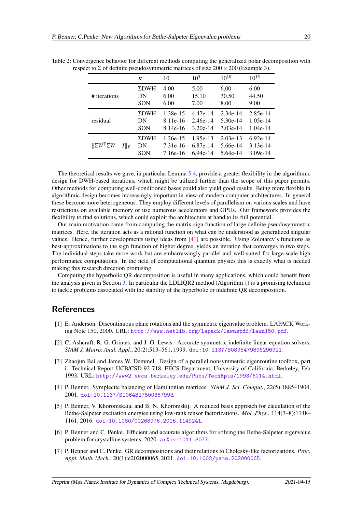|                                           | ĸ           | 10       | $10^{5}$   | $10^{10}$  | $10^{15}$  |
|-------------------------------------------|-------------|----------|------------|------------|------------|
| # iterations                              | <b>ΣDWH</b> | 4.00     | 5.00       | 6.00       | 6.00       |
|                                           | DN          | 6.00     | 15.10      | 30.50      | 44.50      |
|                                           | <b>SON</b>  | 6.00     | 7.00       | 8.00       | 9.00       |
| residual                                  | <b>ΣDWH</b> | 1.38e-15 | 4.47e-14   | 2.34e-14   | $2.85e-14$ |
|                                           | DN          | 8.11e-16 | 2.46e-14   | $5.30e-14$ | $1.05e-14$ |
|                                           | <b>SON</b>  | 8.14e-16 | $3.20e-14$ | $3.03e-14$ | $1.04e-14$ |
| $\ \Sigma W^{\mathsf{T}}\Sigma W - I\ _F$ | <b>ΣDWH</b> | 1.26e-15 | 1.95e-13   | $2.03e-13$ | $6.92e-14$ |
|                                           | DN          | 7.31e-16 | 6.87e-14   | 5.66e-14   | $3.13e-14$ |
|                                           | SON         | 7.16e-16 | $6.94e-14$ | 5.64e-14   | $3.09e-14$ |

<span id="page-19-7"></span>Table 2: Convergence behavior for different methods computing the generalized polar decomposition with respect to  $\Sigma$  of definite pseudosymmetric matrices of size  $200 \times 200$  (Example 3).

The theoretical results we gave, in particular Lemma [5.4,](#page-9-3) provide a greater flexibility in the algorithmic design for DWH-based iterations, which might be utilized further than the scope of this paper permits. Other methods for computing well-conditioned bases could also yield good results. Being more flexible in algorithmic design becomes increasingly important in view of modern computer architectures. In general these become more heterogeneous. They employ different levels of parallelism on various scales and have restrictions on available memory or use numerous accelerators and GPUs. Our framework provides the flexibility to find solutions, which could exploit the architecture at hand to its full potential.

Our main motivation came from computing the matrix sign function of large definite pseudosymmetric matrices. Here, the iteration acts as a rational function on what can be understood as generalized singular values. Hence, further developments using ideas from [\[41\]](#page-21-5) are possible. Using Zolotarev's functions as best-approximations to the sign function of higher degree, yields an iteration that converges in two steps. The individual steps take more work but are embarrassingly parallel and well-suited for large-scale high performance computations. In the field of computational quantum physics this is exactly what is needed making this research direction promising.

Computing the hyperbolic QR decomposition is useful in many applications, which could benefit from the analysis given in Section [3.](#page-3-0) In particular the LDLIQR2 method (Algorithm [1\)](#page-6-1) is a promising technique to tackle problems associated with the stability of the hyperbolic or indefinte QR decomposition.

## <span id="page-19-6"></span>References

- [1] E. Anderson. Discontinuous plane rotations and the symmetric eigenvalue problem. LAPACK Working Note 150, 2000. URL: <http://www.netlib.org/lapack/lawnspdf/lawn150.pdf>.
- <span id="page-19-2"></span>[2] C. Ashcraft, R. G. Grimes, and J. G. Lewis. Accurate symmetric indefinite linear equation solvers. *SIAM J. Matrix Anal. Appl.*, 20(2):513–561, 1999. [doi:10.1137/S0895479896296921](http://dx.doi.org/10.1137/S0895479896296921).
- <span id="page-19-0"></span>[3] Zhaojun Bai and James W. Demmel. Design of a parallel nonsymmetric eigenroutine toolbox, part i. Technical Report UCB/CSD-92-718, EECS Department, University of California, Berkeley, Feb 1993. URL: <http://www2.eecs.berkeley.edu/Pubs/TechRpts/1993/6014.html>.
- <span id="page-19-5"></span>[4] P. Benner. Symplectic balancing of Hamiltonian matrices. *SIAM J. Sci. Comput.*, 22(5):1885–1904, 2001. [doi:10.1137/S1064827500367993](http://dx.doi.org/10.1137/S1064827500367993).
- <span id="page-19-1"></span>[5] P. Benner, V. Khoromskaia, and B: N. Khoromskij. A reduced basis approach for calculation of the Bethe-Salpeter excitation energies using low-rank tensor factorizations. *Mol. Phys.*, 114(7–8):1148– 1161, 2016. [doi:10.1080/00268976.2016.1149241](http://dx.doi.org/10.1080/00268976.2016.1149241).
- <span id="page-19-4"></span>[6] P. Benner and C. Penke. Efficient and accurate algorithms for solving the Bethe-Salpeter eigenvalue problem for crystalline systems, 2020. [arXiv:1011.3077](http://arxiv.org/abs/1011.3077).
- <span id="page-19-3"></span>[7] P. Benner and C. Penke. GR decompositions and their relations to Cholesky-like factorizations. *Proc. Appl. Math. Mech.*, 20(1):e202000065, 2021. [doi:10.1002/pamm.202000065](http://dx.doi.org/10.1002/pamm.202000065).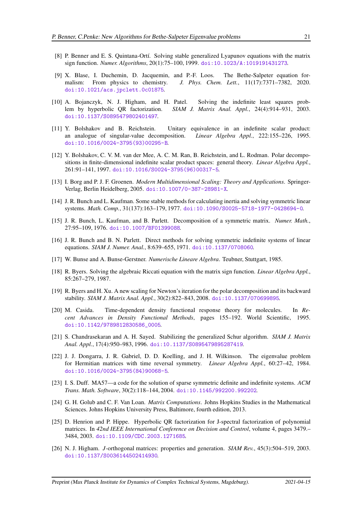- <span id="page-20-5"></span><span id="page-20-0"></span>[8] P. Benner and E. S. Quintana-Ortí. Solving stable generalized Lyapunov equations with the matrix sign function. *Numer. Algorithms*, 20(1):75–100, 1999. [doi:10.1023/A:1019191431273](http://dx.doi.org/10.1023/A:1019191431273).
- [9] X. Blase, I. Duchemin, D. Jacquemin, and P.-F. Loos. The Bethe-Salpeter equation formalism: From physics to chemistry. *J. Phys. Chem. Lett.*, 11(17):7371–7382, 2020. [doi:10.1021/acs.jpclett.0c01875](http://dx.doi.org/10.1021/acs.jpclett.0c01875).
- <span id="page-20-8"></span>[10] A. Bojanczyk, N. J. Higham, and H. Patel. Solving the indefinite least squares problem by hyperbolic QR factorization. *SIAM J. Matrix Anal. Appl.*, 24(4):914–931, 2003. [doi:10.1137/S0895479802401497](http://dx.doi.org/10.1137/S0895479802401497).
- <span id="page-20-1"></span>[11] Y. Bolshakov and B. Reichstein. Unitary equivalence in an indefinite scalar product: an analogue of singular-value decomposition. *Linear Algebra Appl.*, 222:155–226, 1995. [doi:10.1016/0024-3795\(93\)00295-B](http://dx.doi.org/10.1016/0024-3795(93)00295-B).
- <span id="page-20-2"></span>[12] Y. Bolshakov, C. V. M. van der Mee, A. C. M. Ran, B. Reichstein, and L. Rodman. Polar decompositions in finite-dimensional indefinite scalar product spaces: general theory. *Linear Algebra Appl.*, 261:91–141, 1997. [doi:10.1016/S0024-3795\(96\)00317-5](http://dx.doi.org/10.1016/S0024-3795(96)00317-5).
- <span id="page-20-3"></span>[13] I. Borg and P. J. F. Groenen. *Modern Multidimensional Scaling: Theory and Applications*. Springer-Verlag, Berlin Heidelberg, 2005. [doi:10.1007/0-387-28981-X](http://dx.doi.org/10.1007/0-387-28981-X).
- <span id="page-20-12"></span>[14] J. R. Bunch and L. Kaufman. Some stable methods for calculating inertia and solving symmetric linear systems. *Math. Comp.*, 31(137):163–179, 1977. [doi:10.1090/S0025-5718-1977-0428694-0](http://dx.doi.org/10.1090/S0025-5718-1977-0428694-0).
- <span id="page-20-13"></span><span id="page-20-11"></span>[15] J. R. Bunch, L. Kaufman, and B. Parlett. Decomposition of a symmetric matrix. *Numer. Math.*, 27:95–109, 1976. [doi:10.1007/BF01399088](http://dx.doi.org/10.1007/BF01399088).
- [16] J. R. Bunch and B. N. Parlett. Direct methods for solving symmetric indefinite systems of linear equations. *SIAM J. Numer. Anal.*, 8:639–655, 1971. [doi:10.1137/0708060](http://dx.doi.org/10.1137/0708060).
- <span id="page-20-18"></span><span id="page-20-9"></span>[17] W. Bunse and A. Bunse-Gerstner. *Numerische Lineare Algebra*. Teubner, Stuttgart, 1985.
- [18] R. Byers. Solving the algebraic Riccati equation with the matrix sign function. *Linear Algebra Appl.*, 85:267–279, 1987.
- <span id="page-20-17"></span>[19] R. Byers and H. Xu. A new scaling for Newton's iteration for the polar decomposition and its backward stability. *SIAM J. Matrix Anal. Appl.*, 30(2):822–843, 2008. [doi:10.1137/070699895](http://dx.doi.org/10.1137/070699895).
- <span id="page-20-4"></span>[20] M. Casida. Time-dependent density functional response theory for molecules. In *Recent Advances in Density Functional Methods*, pages 155–192. World Scientific, 1995. [doi:10.1142/9789812830586\\_0005](http://dx.doi.org/10.1142/9789812830586_0005).
- <span id="page-20-15"></span>[21] S. Chandrasekaran and A. H. Sayed. Stabilizing the generalized Schur algorithm. *SIAM J. Matrix Anal. Appl.*, 17(4):950–983, 1996. [doi:10.1137/S0895479895287419](http://dx.doi.org/10.1137/S0895479895287419).
- <span id="page-20-6"></span>[22] J. J. Dongarra, J. R. Gabriel, D. D. Koelling, and J. H. Wilkinson. The eigenvalue problem for Hermitian matrices with time reversal symmetry. *Linear Algebra Appl.*, 60:27–42, 1984. [doi:10.1016/0024-3795\(84\)90068-5](http://dx.doi.org/10.1016/0024-3795(84)90068-5).
- <span id="page-20-14"></span>[23] I. S. Duff. MA57—a code for the solution of sparse symmetric definite and indefinite systems. *ACM Trans. Math. Software*, 30(2):118–144, 2004. [doi:10.1145/992200.992202](http://dx.doi.org/10.1145/992200.992202).
- <span id="page-20-10"></span>[24] G. H. Golub and C. F. Van Loan. *Matrix Computations*. Johns Hopkins Studies in the Mathematical Sciences. Johns Hopkins University Press, Baltimore, fourth edition, 2013.
- <span id="page-20-16"></span>[25] D. Henrion and P. Hippe. Hyperbolic QR factorization for J-spectral factorization of polynomial matrices. In *42nd IEEE International Conference on Decision and Control*, volume 4, pages 3479.– 3484, 2003. [doi:10.1109/CDC.2003.1271685](http://dx.doi.org/10.1109/CDC.2003.1271685).
- <span id="page-20-7"></span>[26] N. J. Higham. *J*-orthogonal matrices: properties and generation. *SIAM Rev.*, 45(3):504–519, 2003. [doi:10.1137/S0036144502414930](http://dx.doi.org/10.1137/S0036144502414930).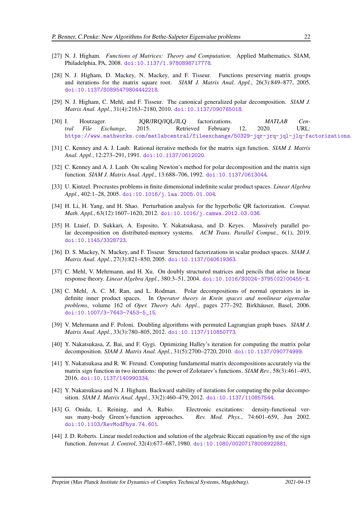- <span id="page-21-7"></span><span id="page-21-0"></span>[27] N. J. Higham. *Functions of Matrices: Theory and Computation*. Applied Mathematics. SIAM, Philadelphia, PA, 2008. [doi:10.1137/1.9780898717778](http://dx.doi.org/10.1137/1.9780898717778).
- [28] N. J. Higham, D. Mackey, N. Mackey, and F. Tisseur. Functions preserving matrix groups and iterations for the matrix square root. *SIAM J. Matrix Anal. Appl.*, 26(3):849–877, 2005. [doi:10.1137/S0895479804442218](http://dx.doi.org/10.1137/S0895479804442218).
- <span id="page-21-17"></span><span id="page-21-8"></span>[29] N. J. Higham, C. Mehl, and F. Tisseur. The canonical generalized polar decomposition. *SIAM J. Matrix Anal. Appl.*, 31(4):2163–2180, 2010. [doi:10.1137/090765018](http://dx.doi.org/10.1137/090765018).
- [30] I. Houtzager. JQR/JRQ/JQL/JLQ factorizations. *MATLAB Central File Exchange*, 2015. Retrieved February 12, 2020. URL: [https://www.mathworks.com/matlabcentral/fileexchange/50329-jqr-jrq-jql-jlq-factorizations](https://www.mathworks.com/matlabcentral/fileexchange/50329- jqr-jrq-jql-jlq-factorizations).
- <span id="page-21-15"></span><span id="page-21-14"></span>[31] C. Kenney and A. J. Laub. Rational iterative methods for the matrix sign function. *SIAM J. Matrix Anal. Appl.*, 12:273–291, 1991. [doi:10.1137/0612020](http://dx.doi.org/10.1137/0612020).
- <span id="page-21-9"></span>[32] C. Kenney and A. J. Laub. On scaling Newton's method for polar decomposition and the matrix sign function. *SIAM J. Matrix Anal. Appl.*, 13:688–706, 1992. [doi:10.1137/0613044](http://dx.doi.org/10.1137/0613044).
- <span id="page-21-13"></span>[33] U. Kintzel. Procrustes problems in finite dimensional indefinite scalar product spaces. *Linear Algebra Appl.*, 402:1–28, 2005. [doi:10.1016/j.laa.2005.01.004](http://dx.doi.org/10.1016/j.laa.2005.01.004).
- [34] H. Li, H. Yang, and H. Shao. Perturbation analysis for the hyperbolic QR factorization. *Comput. Math. Appl.*, 63(12):1607–1620, 2012. [doi:10.1016/j.camwa.2012.03.036](http://dx.doi.org/10.1016/j.camwa.2012.03.036).
- <span id="page-21-1"></span>[35] H. Ltaief, D. Sukkari, A. Esposito, Y. Nakatsukasa, and D. Keyes. Massively parallel polar decomposition on distributed-memory systems. *ACM Trans. Parallel Comput.*, 6(1), 2019. [doi:10.1145/3328723](http://dx.doi.org/10.1145/3328723).
- <span id="page-21-12"></span>[36] D. S. Mackey, N. Mackey, and F. Tisseur. Structured factorizations in scalar product spaces. *SIAM J. Matrix Anal. Appl.*, 27(3):821–850, 2005. [doi:10.1137/040619363](http://dx.doi.org/10.1137/040619363).
- <span id="page-21-11"></span>[37] C. Mehl, V. Mehrmann, and H. Xu. On doubly structured matrices and pencils that arise in linear response theory. *Linear Algebra Appl.*, 380:3–51, 2004. [doi:10.1016/S0024-3795\(02\)00455-X](http://dx.doi.org/10.1016/S0024-3795(02)00455-X).
- <span id="page-21-6"></span>[38] C. Mehl, A. C. M. Ran, and L. Rodman. Polar decompositions of normal operators in indefinite inner product spaces. In *Operator theory in Krein spaces and nonlinear eigenvalue problems*, volume 162 of *Oper. Theory Adv. Appl.*, pages 277–292. Birkhäuser, Basel, 2006. [doi:10.1007/3-7643-7453-5\\_15](http://dx.doi.org/10.1007/3-7643-7453-5_15).
- <span id="page-21-16"></span>[39] V. Mehrmann and F. Poloni. Doubling algorithms with permuted Lagrangian graph bases. *SIAM J. Matrix Anal. Appl.*, 33(3):780–805, 2012. [doi:10.1137/110850773](http://dx.doi.org/10.1137/110850773).
- <span id="page-21-2"></span>[40] Y. Nakatsukasa, Z. Bai, and F. Gygi. Optimizing Halley's iteration for computing the matrix polar decomposition. *SIAM J. Matrix Anal. Appl.*, 31(5):2700–2720, 2010. [doi:10.1137/090774999](http://dx.doi.org/10.1137/090774999).
- <span id="page-21-5"></span>[41] Y. Nakatsukasa and R. W. Freund. Computing fundamental matrix decompositions accurately via the matrix sign function in two iterations: the power of Zolotarev's functions. *SIAM Rev.*, 58(3):461–493, 2016. [doi:10.1137/140990334](http://dx.doi.org/10.1137/140990334).
- <span id="page-21-3"></span>[42] Y. Nakatsukasa and N. J. Higham. Backward stability of iterations for computing the polar decomposition. *SIAM J. Matrix Anal. Appl.*, 33(2):460–479, 2012. [doi:10.1137/110857544](http://dx.doi.org/10.1137/110857544).
- <span id="page-21-10"></span>[43] G. Onida, L. Reining, and A. Rubio. Electronic excitations: density-functional versus many-body Green's-function approaches. *Rev. Mod. Phys.*, 74:601–659, Jun 2002. [doi:10.1103/RevModPhys.74.601](http://dx.doi.org/10.1103/RevModPhys.74.601).
- <span id="page-21-4"></span>[44] J. D. Roberts. Linear model reduction and solution of the algebraic Riccati equation by use of the sign function. *Internat. J. Control*, 32(4):677–687, 1980. [doi:10.1080/00207178008922881](http://dx.doi.org/10.1080/00207178008922881).